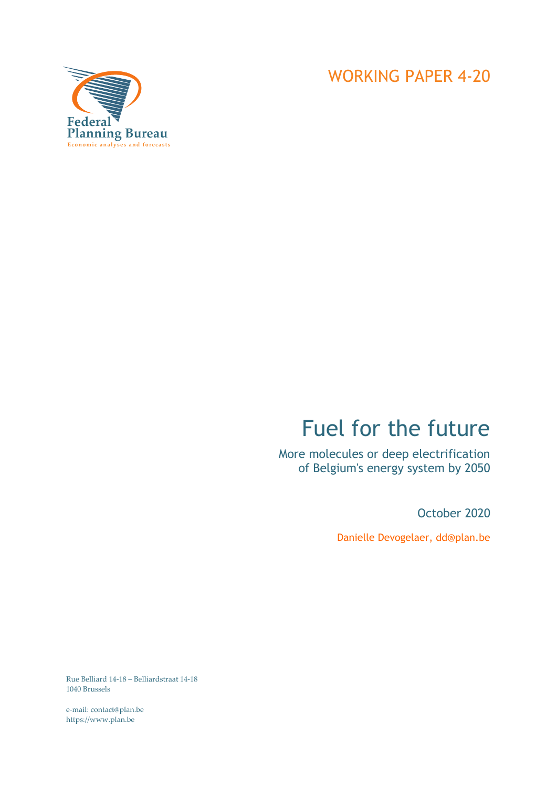

# Fuel for the future

More molecules or deep electrification of Belgium's energy system by 2050

October 2020

Danielle Devogelaer, dd@plan.be

Rue Belliard 14-18 – Belliardstraat 14-18 1040 Brussels

e-mail: contact@plan.be https://www.plan.be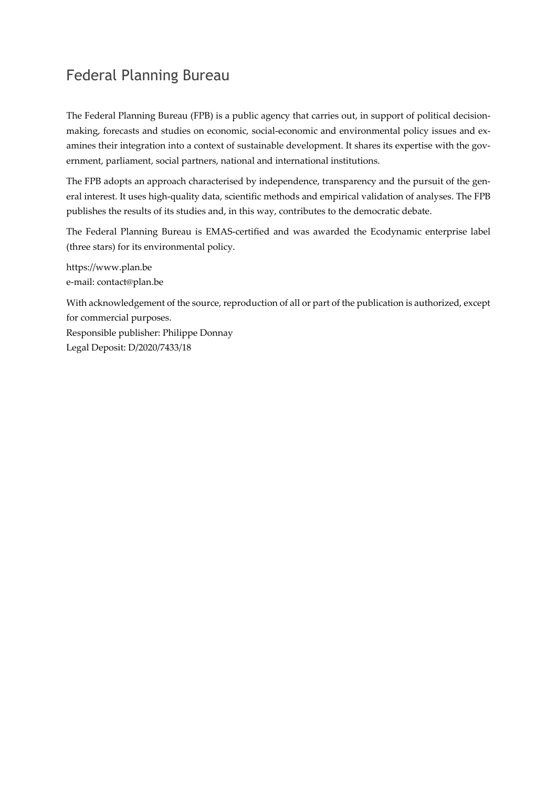# Federal Planning Bureau

The Federal Planning Bureau (FPB) is a public agency that carries out, in support of political decisionmaking, forecasts and studies on economic, social-economic and environmental policy issues and examines their integration into a context of sustainable development. It shares its expertise with the government, parliament, social partners, national and international institutions.

The FPB adopts an approach characterised by independence, transparency and the pursuit of the general interest. It uses high-quality data, scientific methods and empirical validation of analyses. The FPB publishes the results of its studies and, in this way, contributes to the democratic debate.

The Federal Planning Bureau is EMAS-certified and was awarded the Ecodynamic enterprise label (three stars) for its environmental policy.

https://www.plan.be e-mail: contact@plan.be

With acknowledgement of the source, reproduction of all or part of the publication is authorized, except for commercial purposes. Responsible publisher: Philippe Donnay Legal Deposit: D/2020/7433/18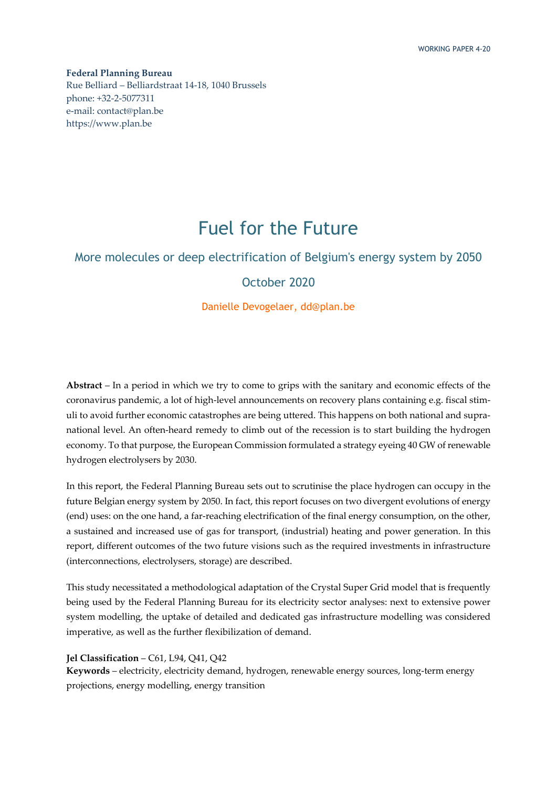**Federal Planning Bureau**  Rue Belliard – Belliardstraat 14-18, 1040 Brussels phone: +32-2-5077311 e-mail: contact@plan.be https://www.plan.be

# Fuel for the Future

### More molecules or deep electrification of Belgium's energy system by 2050

### October 2020

### Danielle Devogelaer, dd@plan.be

**Abstract** – In a period in which we try to come to grips with the sanitary and economic effects of the coronavirus pandemic, a lot of high-level announcements on recovery plans containing e.g. fiscal stimuli to avoid further economic catastrophes are being uttered. This happens on both national and supranational level. An often-heard remedy to climb out of the recession is to start building the hydrogen economy. To that purpose, the European Commission formulated a strategy eyeing 40 GW of renewable hydrogen electrolysers by 2030.

In this report, the Federal Planning Bureau sets out to scrutinise the place hydrogen can occupy in the future Belgian energy system by 2050. In fact, this report focuses on two divergent evolutions of energy (end) uses: on the one hand, a far-reaching electrification of the final energy consumption, on the other, a sustained and increased use of gas for transport, (industrial) heating and power generation. In this report, different outcomes of the two future visions such as the required investments in infrastructure (interconnections, electrolysers, storage) are described.

This study necessitated a methodological adaptation of the Crystal Super Grid model that is frequently being used by the Federal Planning Bureau for its electricity sector analyses: next to extensive power system modelling, the uptake of detailed and dedicated gas infrastructure modelling was considered imperative, as well as the further flexibilization of demand.

### **Jel Classification** – C61, L94, Q41, Q42

**Keywords** – electricity, electricity demand, hydrogen, renewable energy sources, long-term energy projections, energy modelling, energy transition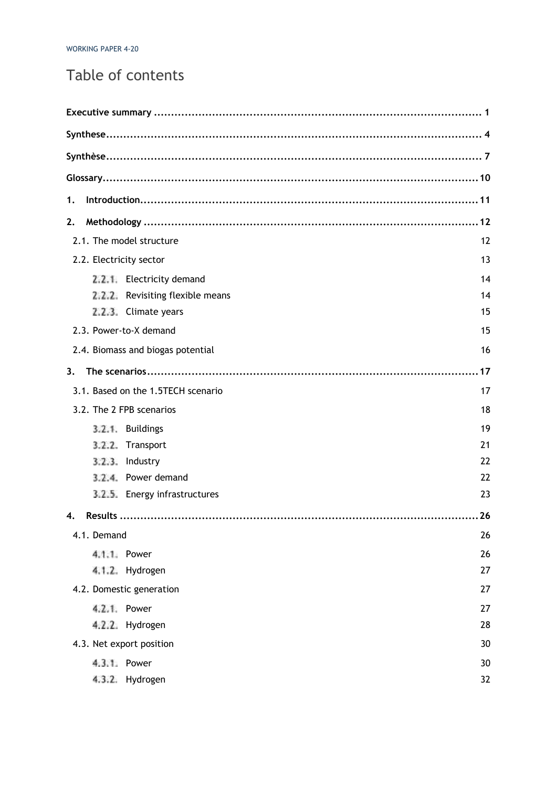# Table of contents

| 1. |             |                                    |    |
|----|-------------|------------------------------------|----|
| 2. |             |                                    |    |
|    |             | 2.1. The model structure           | 12 |
|    |             | 2.2. Electricity sector            | 13 |
|    |             | 2.2.1 Electricity demand           | 14 |
|    |             | 2.2.2 Revisiting flexible means    | 14 |
|    |             | 2.2.3. Climate years               | 15 |
|    |             | 2.3. Power-to-X demand             | 15 |
|    |             | 2.4. Biomass and biogas potential  | 16 |
| 3. |             |                                    |    |
|    |             | 3.1. Based on the 1.5TECH scenario | 17 |
|    |             | 3.2. The 2 FPB scenarios           | 18 |
|    |             | 3.2.1. Buildings                   | 19 |
|    | 3.2.2.      | Transport                          | 21 |
|    | 3.2.3.      | Industry                           | 22 |
|    |             | 3.2.4. Power demand                | 22 |
|    |             | 3.2.5. Energy infrastructures      | 23 |
| 4. |             |                                    | 26 |
|    | 4.1. Demand |                                    | 26 |
|    |             | 4.1.1 Power                        | 26 |
|    |             | 4.1.2. Hydrogen                    | 27 |
|    |             | 4.2. Domestic generation           | 27 |
|    |             | 4.2.1. Power                       | 27 |
|    |             | 4.2.2. Hydrogen                    | 28 |
|    |             | 4.3. Net export position           | 30 |
|    |             | 4.3.1. Power                       | 30 |
|    |             | 4.3.2. Hydrogen                    | 32 |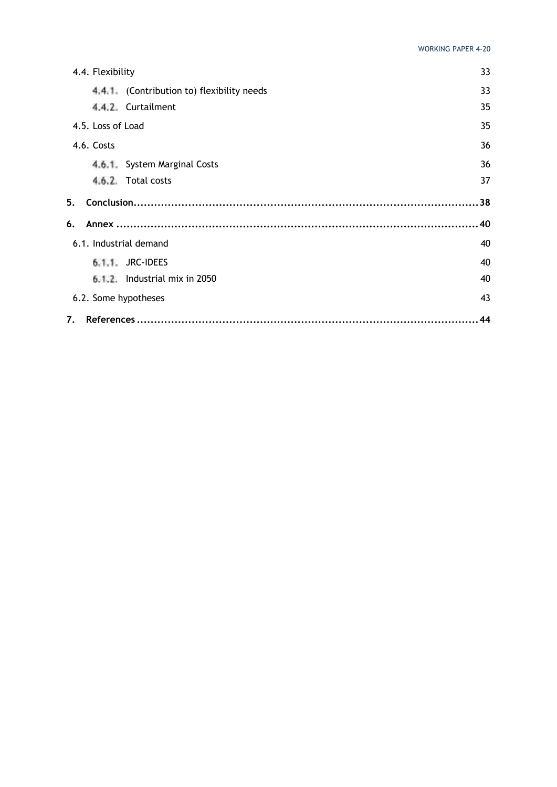| 4.4. Flexibility       |                                           | 33 |
|------------------------|-------------------------------------------|----|
|                        | 4.4.1 (Contribution to) flexibility needs | 33 |
|                        | 4.4.2. Curtailment                        | 35 |
| 4.5. Loss of Load      |                                           | 35 |
| 4.6. Costs             |                                           | 36 |
|                        | 4.6.1 System Marginal Costs               | 36 |
|                        | 4.6.2. Total costs                        | 37 |
| 5.                     |                                           | 38 |
| 6.                     |                                           |    |
| 6.1. Industrial demand |                                           | 40 |
|                        | 6.1.1. JRC-IDEES                          | 40 |
|                        | $6.1.2$ . Industrial mix in 2050          | 40 |
| 6.2. Some hypotheses   |                                           | 43 |
| 7.                     |                                           | 44 |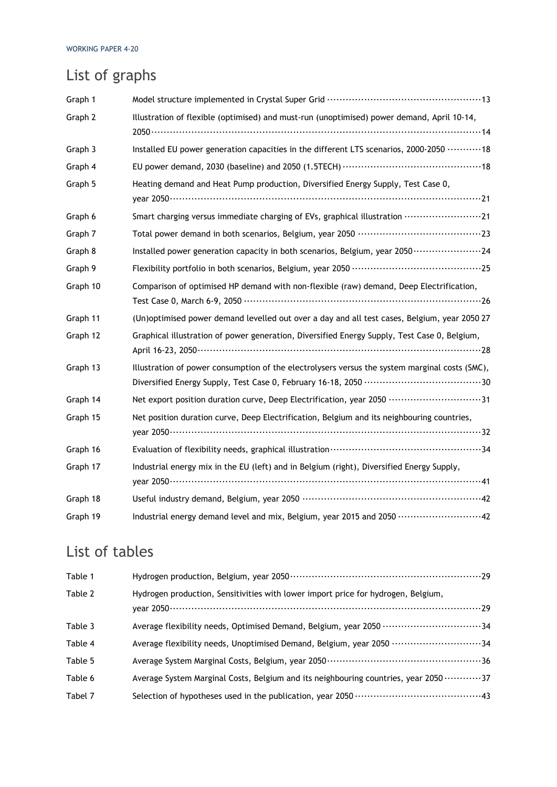# List of graphs

| Graph 1  |                                                                                                       |
|----------|-------------------------------------------------------------------------------------------------------|
| Graph 2  | Illustration of flexible (optimised) and must-run (unoptimised) power demand, April 10-14,            |
| Graph 3  | Installed EU power generation capacities in the different LTS scenarios, 2000-2050  18                |
| Graph 4  |                                                                                                       |
| Graph 5  | Heating demand and Heat Pump production, Diversified Energy Supply, Test Case 0,                      |
| Graph 6  | Smart charging versus immediate charging of EVs, graphical illustration ························21    |
| Graph 7  |                                                                                                       |
| Graph 8  |                                                                                                       |
| Graph 9  |                                                                                                       |
| Graph 10 | Comparison of optimised HP demand with non-flexible (raw) demand, Deep Electrification,               |
| Graph 11 | (Un)optimised power demand levelled out over a day and all test cases, Belgium, year 2050 27          |
| Graph 12 | Graphical illustration of power generation, Diversified Energy Supply, Test Case 0, Belgium,          |
| Graph 13 | Illustration of power consumption of the electrolysers versus the system marginal costs (SMC),        |
| Graph 14 | Net export position duration curve, Deep Electrification, year 2050 ·······························31 |
| Graph 15 | Net position duration curve, Deep Electrification, Belgium and its neighbouring countries,            |
| Graph 16 |                                                                                                       |
| Graph 17 | Industrial energy mix in the EU (left) and in Belgium (right), Diversified Energy Supply,             |
| Graph 18 |                                                                                                       |
| Graph 19 | Industrial energy demand level and mix, Belgium, year 2015 and 2050 ···························42     |

# List of tables

| Table 1 |                                                                                                      |
|---------|------------------------------------------------------------------------------------------------------|
| Table 2 | Hydrogen production, Sensitivities with lower import price for hydrogen, Belgium,                    |
| Table 3 | Average flexibility needs, Optimised Demand, Belgium, year 2050 ·································34  |
| Table 4 | Average flexibility needs, Unoptimised Demand, Belgium, year 2050 ································34 |
| Table 5 |                                                                                                      |
| Table 6 | Average System Marginal Costs, Belgium and its neighbouring countries, year 2050 37                  |
| Tabel 7 |                                                                                                      |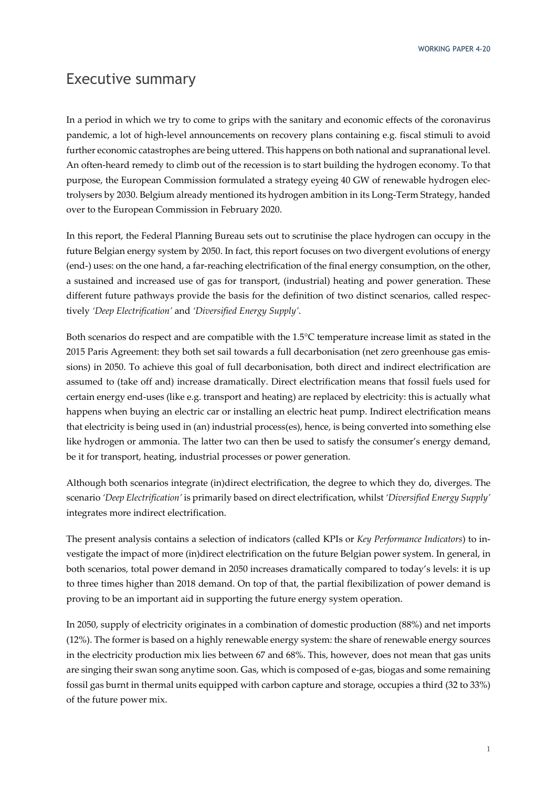### Executive summary

In a period in which we try to come to grips with the sanitary and economic effects of the coronavirus pandemic, a lot of high-level announcements on recovery plans containing e.g. fiscal stimuli to avoid further economic catastrophes are being uttered. This happens on both national and supranational level. An often-heard remedy to climb out of the recession is to start building the hydrogen economy. To that purpose, the European Commission formulated a strategy eyeing 40 GW of renewable hydrogen electrolysers by 2030. Belgium already mentioned its hydrogen ambition in its Long-Term Strategy, handed over to the European Commission in February 2020.

In this report, the Federal Planning Bureau sets out to scrutinise the place hydrogen can occupy in the future Belgian energy system by 2050. In fact, this report focuses on two divergent evolutions of energy (end-) uses: on the one hand, a far-reaching electrification of the final energy consumption, on the other, a sustained and increased use of gas for transport, (industrial) heating and power generation. These different future pathways provide the basis for the definition of two distinct scenarios, called respectively *'Deep Electrification'* and *'Diversified Energy Supply'*.

Both scenarios do respect and are compatible with the 1.5°C temperature increase limit as stated in the 2015 Paris Agreement: they both set sail towards a full decarbonisation (net zero greenhouse gas emissions) in 2050. To achieve this goal of full decarbonisation, both direct and indirect electrification are assumed to (take off and) increase dramatically. Direct electrification means that fossil fuels used for certain energy end-uses (like e.g. transport and heating) are replaced by electricity: this is actually what happens when buying an electric car or installing an electric heat pump. Indirect electrification means that electricity is being used in (an) industrial process(es), hence, is being converted into something else like hydrogen or ammonia. The latter two can then be used to satisfy the consumer's energy demand, be it for transport, heating, industrial processes or power generation.

Although both scenarios integrate (in)direct electrification, the degree to which they do, diverges. The scenario *'Deep Electrification'* is primarily based on direct electrification, whilst *'Diversified Energy Supply'* integrates more indirect electrification.

The present analysis contains a selection of indicators (called KPIs or *Key Performance Indicators*) to investigate the impact of more (in)direct electrification on the future Belgian power system. In general, in both scenarios, total power demand in 2050 increases dramatically compared to today's levels: it is up to three times higher than 2018 demand. On top of that, the partial flexibilization of power demand is proving to be an important aid in supporting the future energy system operation.

In 2050, supply of electricity originates in a combination of domestic production (88%) and net imports (12%). The former is based on a highly renewable energy system: the share of renewable energy sources in the electricity production mix lies between 67 and 68%. This, however, does not mean that gas units are singing their swan song anytime soon. Gas, which is composed of e-gas, biogas and some remaining fossil gas burnt in thermal units equipped with carbon capture and storage, occupies a third (32 to 33%) of the future power mix.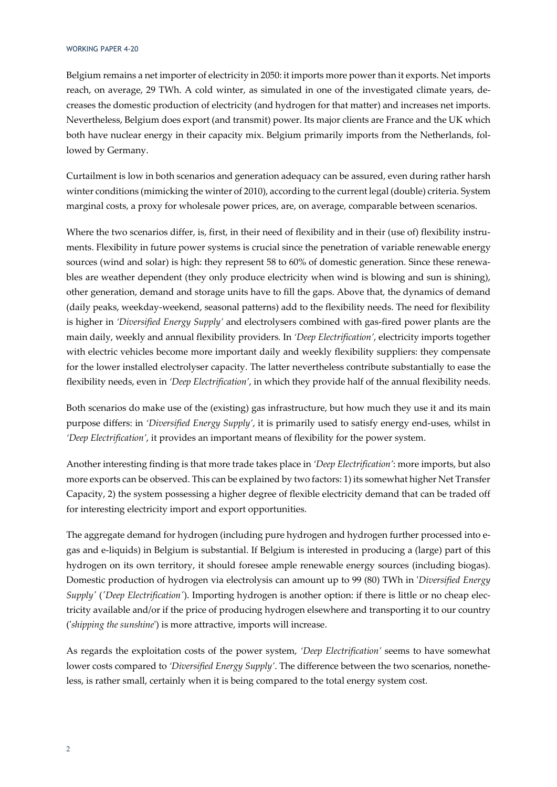Belgium remains a net importer of electricity in 2050: it imports more power than it exports. Net imports reach, on average, 29 TWh. A cold winter, as simulated in one of the investigated climate years, decreases the domestic production of electricity (and hydrogen for that matter) and increases net imports. Nevertheless, Belgium does export (and transmit) power. Its major clients are France and the UK which both have nuclear energy in their capacity mix. Belgium primarily imports from the Netherlands, followed by Germany.

Curtailment is low in both scenarios and generation adequacy can be assured, even during rather harsh winter conditions (mimicking the winter of 2010), according to the current legal (double) criteria. System marginal costs, a proxy for wholesale power prices, are, on average, comparable between scenarios.

Where the two scenarios differ, is, first, in their need of flexibility and in their (use of) flexibility instruments. Flexibility in future power systems is crucial since the penetration of variable renewable energy sources (wind and solar) is high: they represent 58 to 60% of domestic generation. Since these renewables are weather dependent (they only produce electricity when wind is blowing and sun is shining), other generation, demand and storage units have to fill the gaps. Above that, the dynamics of demand (daily peaks, weekday-weekend, seasonal patterns) add to the flexibility needs. The need for flexibility is higher in *'Diversified Energy Supply'* and electrolysers combined with gas-fired power plants are the main daily, weekly and annual flexibility providers*.* In *'Deep Electrification'*, electricity imports together with electric vehicles become more important daily and weekly flexibility suppliers: they compensate for the lower installed electrolyser capacity. The latter nevertheless contribute substantially to ease the flexibility needs, even in *'Deep Electrification'*, in which they provide half of the annual flexibility needs.

Both scenarios do make use of the (existing) gas infrastructure, but how much they use it and its main purpose differs: in *'Diversified Energy Supply'*, it is primarily used to satisfy energy end-uses, whilst in *'Deep Electrification'*, it provides an important means of flexibility for the power system.

Another interesting finding is that more trade takes place in *'Deep Electrification'*: more imports, but also more exports can be observed. This can be explained by two factors: 1) its somewhat higher Net Transfer Capacity, 2) the system possessing a higher degree of flexible electricity demand that can be traded off for interesting electricity import and export opportunities.

The aggregate demand for hydrogen (including pure hydrogen and hydrogen further processed into egas and e-liquids) in Belgium is substantial. If Belgium is interested in producing a (large) part of this hydrogen on its own territory, it should foresee ample renewable energy sources (including biogas). Domestic production of hydrogen via electrolysis can amount up to 99 (80) TWh in '*Diversified Energy Supply'* (*'Deep Electrification'*). Importing hydrogen is another option: if there is little or no cheap electricity available and/or if the price of producing hydrogen elsewhere and transporting it to our country ('*shipping the sunshine*') is more attractive, imports will increase.

As regards the exploitation costs of the power system, *'Deep Electrification'* seems to have somewhat lower costs compared to *'Diversified Energy Supply'*. The difference between the two scenarios, nonetheless, is rather small, certainly when it is being compared to the total energy system cost.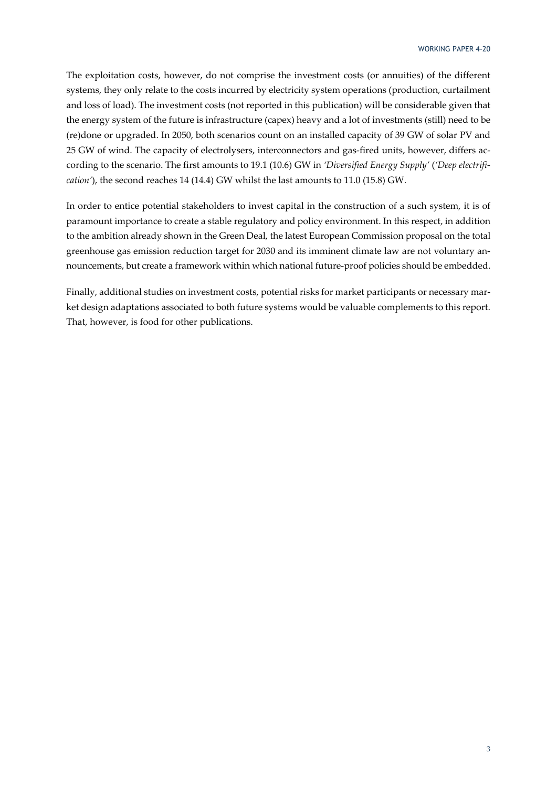The exploitation costs, however, do not comprise the investment costs (or annuities) of the different systems, they only relate to the costs incurred by electricity system operations (production, curtailment and loss of load). The investment costs (not reported in this publication) will be considerable given that the energy system of the future is infrastructure (capex) heavy and a lot of investments (still) need to be (re)done or upgraded. In 2050, both scenarios count on an installed capacity of 39 GW of solar PV and 25 GW of wind. The capacity of electrolysers, interconnectors and gas-fired units, however, differs according to the scenario. The first amounts to 19.1 (10.6) GW in *'Diversified Energy Supply'* (*'Deep electrification'*), the second reaches 14 (14.4) GW whilst the last amounts to 11.0 (15.8) GW.

In order to entice potential stakeholders to invest capital in the construction of a such system, it is of paramount importance to create a stable regulatory and policy environment. In this respect, in addition to the ambition already shown in the Green Deal, the latest European Commission proposal on the total greenhouse gas emission reduction target for 2030 and its imminent climate law are not voluntary announcements, but create a framework within which national future-proof policies should be embedded.

Finally, additional studies on investment costs, potential risks for market participants or necessary market design adaptations associated to both future systems would be valuable complements to this report. That, however, is food for other publications.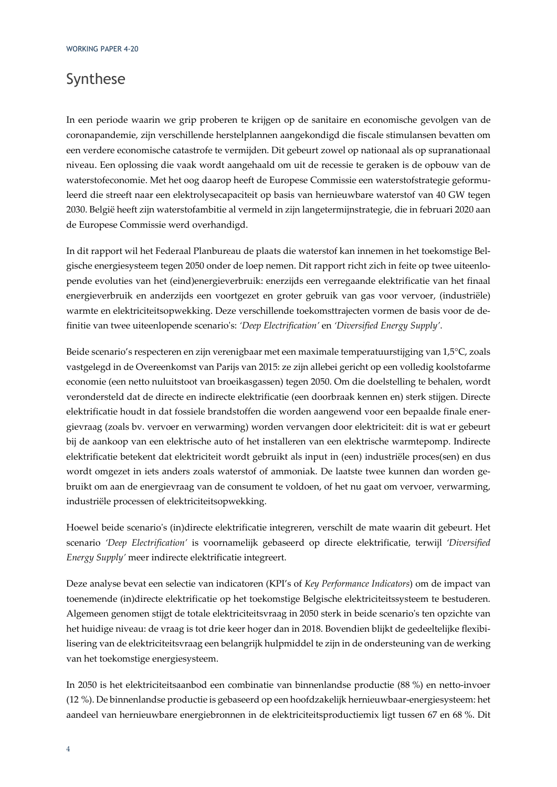## Synthese

In een periode waarin we grip proberen te krijgen op de sanitaire en economische gevolgen van de coronapandemie, zijn verschillende herstelplannen aangekondigd die fiscale stimulansen bevatten om een verdere economische catastrofe te vermijden. Dit gebeurt zowel op nationaal als op supranationaal niveau. Een oplossing die vaak wordt aangehaald om uit de recessie te geraken is de opbouw van de waterstofeconomie. Met het oog daarop heeft de Europese Commissie een waterstofstrategie geformuleerd die streeft naar een elektrolysecapaciteit op basis van hernieuwbare waterstof van 40 GW tegen 2030. België heeft zijn waterstofambitie al vermeld in zijn langetermijnstrategie, die in februari 2020 aan de Europese Commissie werd overhandigd.

In dit rapport wil het Federaal Planbureau de plaats die waterstof kan innemen in het toekomstige Belgische energiesysteem tegen 2050 onder de loep nemen. Dit rapport richt zich in feite op twee uiteenlopende evoluties van het (eind)energieverbruik: enerzijds een verregaande elektrificatie van het finaal energieverbruik en anderzijds een voortgezet en groter gebruik van gas voor vervoer, (industriële) warmte en elektriciteitsopwekking. Deze verschillende toekomsttrajecten vormen de basis voor de definitie van twee uiteenlopende scenario's: *'Deep Electrification'* en *'Diversified Energy Supply'*.

Beide scenario's respecteren en zijn verenigbaar met een maximale temperatuurstijging van 1,5°C, zoals vastgelegd in de Overeenkomst van Parijs van 2015: ze zijn allebei gericht op een volledig koolstofarme economie (een netto nuluitstoot van broeikasgassen) tegen 2050. Om die doelstelling te behalen, wordt verondersteld dat de directe en indirecte elektrificatie (een doorbraak kennen en) sterk stijgen. Directe elektrificatie houdt in dat fossiele brandstoffen die worden aangewend voor een bepaalde finale energievraag (zoals bv. vervoer en verwarming) worden vervangen door elektriciteit: dit is wat er gebeurt bij de aankoop van een elektrische auto of het installeren van een elektrische warmtepomp. Indirecte elektrificatie betekent dat elektriciteit wordt gebruikt als input in (een) industriële proces(sen) en dus wordt omgezet in iets anders zoals waterstof of ammoniak. De laatste twee kunnen dan worden gebruikt om aan de energievraag van de consument te voldoen, of het nu gaat om vervoer, verwarming, industriële processen of elektriciteitsopwekking.

Hoewel beide scenario's (in)directe elektrificatie integreren, verschilt de mate waarin dit gebeurt. Het scenario *'Deep Electrification'* is voornamelijk gebaseerd op directe elektrificatie, terwijl *'Diversified Energy Supply'* meer indirecte elektrificatie integreert.

Deze analyse bevat een selectie van indicatoren (KPI's of *Key Performance Indicators*) om de impact van toenemende (in)directe elektrificatie op het toekomstige Belgische elektriciteitssysteem te bestuderen. Algemeen genomen stijgt de totale elektriciteitsvraag in 2050 sterk in beide scenario's ten opzichte van het huidige niveau: de vraag is tot drie keer hoger dan in 2018. Bovendien blijkt de gedeeltelijke flexibilisering van de elektriciteitsvraag een belangrijk hulpmiddel te zijn in de ondersteuning van de werking van het toekomstige energiesysteem.

In 2050 is het elektriciteitsaanbod een combinatie van binnenlandse productie (88 %) en netto-invoer (12 %). De binnenlandse productie is gebaseerd op een hoofdzakelijk hernieuwbaar-energiesysteem: het aandeel van hernieuwbare energiebronnen in de elektriciteitsproductiemix ligt tussen 67 en 68 %. Dit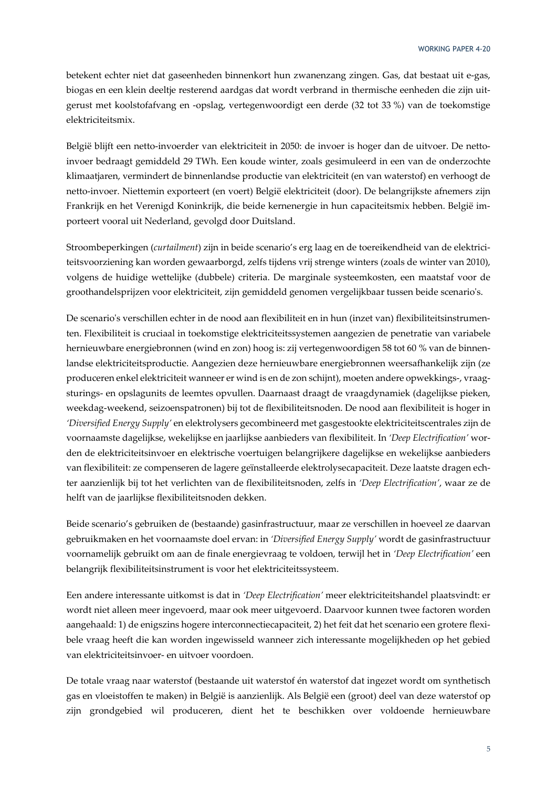betekent echter niet dat gaseenheden binnenkort hun zwanenzang zingen. Gas, dat bestaat uit e-gas, biogas en een klein deeltje resterend aardgas dat wordt verbrand in thermische eenheden die zijn uitgerust met koolstofafvang en -opslag, vertegenwoordigt een derde (32 tot 33 %) van de toekomstige elektriciteitsmix.

België blijft een netto-invoerder van elektriciteit in 2050: de invoer is hoger dan de uitvoer. De nettoinvoer bedraagt gemiddeld 29 TWh. Een koude winter, zoals gesimuleerd in een van de onderzochte klimaatjaren, vermindert de binnenlandse productie van elektriciteit (en van waterstof) en verhoogt de netto-invoer. Niettemin exporteert (en voert) België elektriciteit (door). De belangrijkste afnemers zijn Frankrijk en het Verenigd Koninkrijk, die beide kernenergie in hun capaciteitsmix hebben. België importeert vooral uit Nederland, gevolgd door Duitsland.

Stroombeperkingen (*curtailment*) zijn in beide scenario's erg laag en de toereikendheid van de elektriciteitsvoorziening kan worden gewaarborgd, zelfs tijdens vrij strenge winters (zoals de winter van 2010), volgens de huidige wettelijke (dubbele) criteria. De marginale systeemkosten, een maatstaf voor de groothandelsprijzen voor elektriciteit, zijn gemiddeld genomen vergelijkbaar tussen beide scenario's.

De scenario's verschillen echter in de nood aan flexibiliteit en in hun (inzet van) flexibiliteitsinstrumenten. Flexibiliteit is cruciaal in toekomstige elektriciteitssystemen aangezien de penetratie van variabele hernieuwbare energiebronnen (wind en zon) hoog is: zij vertegenwoordigen 58 tot 60 % van de binnenlandse elektriciteitsproductie. Aangezien deze hernieuwbare energiebronnen weersafhankelijk zijn (ze produceren enkel elektriciteit wanneer er wind is en de zon schijnt), moeten andere opwekkings-, vraagsturings- en opslagunits de leemtes opvullen. Daarnaast draagt de vraagdynamiek (dagelijkse pieken, weekdag-weekend, seizoenspatronen) bij tot de flexibiliteitsnoden. De nood aan flexibiliteit is hoger in *'Diversified Energy Supply'* en elektrolysers gecombineerd met gasgestookte elektriciteitscentrales zijn de voornaamste dagelijkse, wekelijkse en jaarlijkse aanbieders van flexibiliteit. In *'Deep Electrification'* worden de elektriciteitsinvoer en elektrische voertuigen belangrijkere dagelijkse en wekelijkse aanbieders van flexibiliteit: ze compenseren de lagere geïnstalleerde elektrolysecapaciteit. Deze laatste dragen echter aanzienlijk bij tot het verlichten van de flexibiliteitsnoden, zelfs in *'Deep Electrification'*, waar ze de helft van de jaarlijkse flexibiliteitsnoden dekken.

Beide scenario's gebruiken de (bestaande) gasinfrastructuur, maar ze verschillen in hoeveel ze daarvan gebruikmaken en het voornaamste doel ervan: in *'Diversified Energy Supply'* wordt de gasinfrastructuur voornamelijk gebruikt om aan de finale energievraag te voldoen, terwijl het in *'Deep Electrification'* een belangrijk flexibiliteitsinstrument is voor het elektriciteitssysteem.

Een andere interessante uitkomst is dat in *'Deep Electrification'* meer elektriciteitshandel plaatsvindt: er wordt niet alleen meer ingevoerd, maar ook meer uitgevoerd. Daarvoor kunnen twee factoren worden aangehaald: 1) de enigszins hogere interconnectiecapaciteit, 2) het feit dat het scenario een grotere flexibele vraag heeft die kan worden ingewisseld wanneer zich interessante mogelijkheden op het gebied van elektriciteitsinvoer- en uitvoer voordoen.

De totale vraag naar waterstof (bestaande uit waterstof én waterstof dat ingezet wordt om synthetisch gas en vloeistoffen te maken) in België is aanzienlijk. Als België een (groot) deel van deze waterstof op zijn grondgebied wil produceren, dient het te beschikken over voldoende hernieuwbare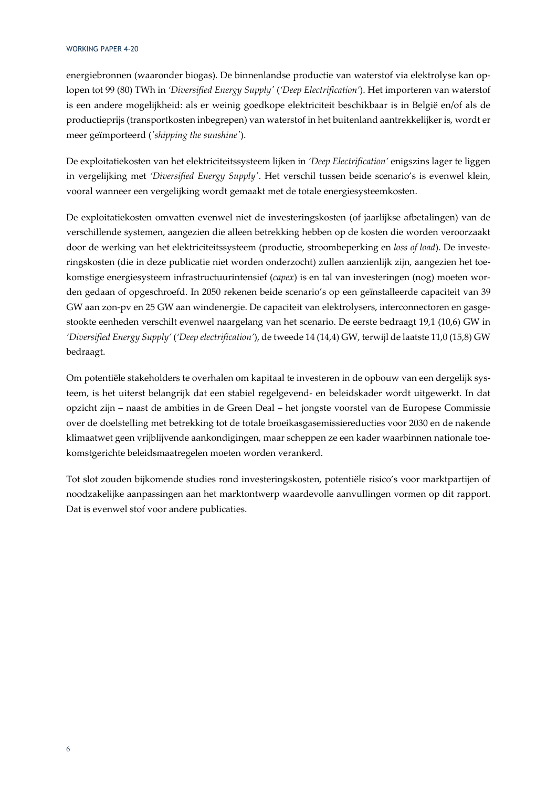energiebronnen (waaronder biogas). De binnenlandse productie van waterstof via elektrolyse kan oplopen tot 99 (80) TWh in *'Diversified Energy Supply'* (*'Deep Electrification'*). Het importeren van waterstof is een andere mogelijkheid: als er weinig goedkope elektriciteit beschikbaar is in België en/of als de productieprijs (transportkosten inbegrepen) van waterstof in het buitenland aantrekkelijker is, wordt er meer geïmporteerd (*'shipping the sunshine'*).

De exploitatiekosten van het elektriciteitssysteem lijken in *'Deep Electrification'* enigszins lager te liggen in vergelijking met *'Diversified Energy Supply'*. Het verschil tussen beide scenario's is evenwel klein, vooral wanneer een vergelijking wordt gemaakt met de totale energiesysteemkosten.

De exploitatiekosten omvatten evenwel niet de investeringskosten (of jaarlijkse afbetalingen) van de verschillende systemen, aangezien die alleen betrekking hebben op de kosten die worden veroorzaakt door de werking van het elektriciteitssysteem (productie, stroombeperking en *loss of load*). De investeringskosten (die in deze publicatie niet worden onderzocht) zullen aanzienlijk zijn, aangezien het toekomstige energiesysteem infrastructuurintensief (*capex*) is en tal van investeringen (nog) moeten worden gedaan of opgeschroefd. In 2050 rekenen beide scenario's op een geïnstalleerde capaciteit van 39 GW aan zon-pv en 25 GW aan windenergie. De capaciteit van elektrolysers, interconnectoren en gasgestookte eenheden verschilt evenwel naargelang van het scenario. De eerste bedraagt 19,1 (10,6) GW in *'Diversified Energy Supply'* (*'Deep electrification'*), de tweede 14 (14,4) GW, terwijl de laatste 11,0 (15,8) GW bedraagt.

Om potentiële stakeholders te overhalen om kapitaal te investeren in de opbouw van een dergelijk systeem, is het uiterst belangrijk dat een stabiel regelgevend- en beleidskader wordt uitgewerkt. In dat opzicht zijn – naast de ambities in de Green Deal – het jongste voorstel van de Europese Commissie over de doelstelling met betrekking tot de totale broeikasgasemissiereducties voor 2030 en de nakende klimaatwet geen vrijblijvende aankondigingen, maar scheppen ze een kader waarbinnen nationale toekomstgerichte beleidsmaatregelen moeten worden verankerd.

Tot slot zouden bijkomende studies rond investeringskosten, potentiële risico's voor marktpartijen of noodzakelijke aanpassingen aan het marktontwerp waardevolle aanvullingen vormen op dit rapport. Dat is evenwel stof voor andere publicaties.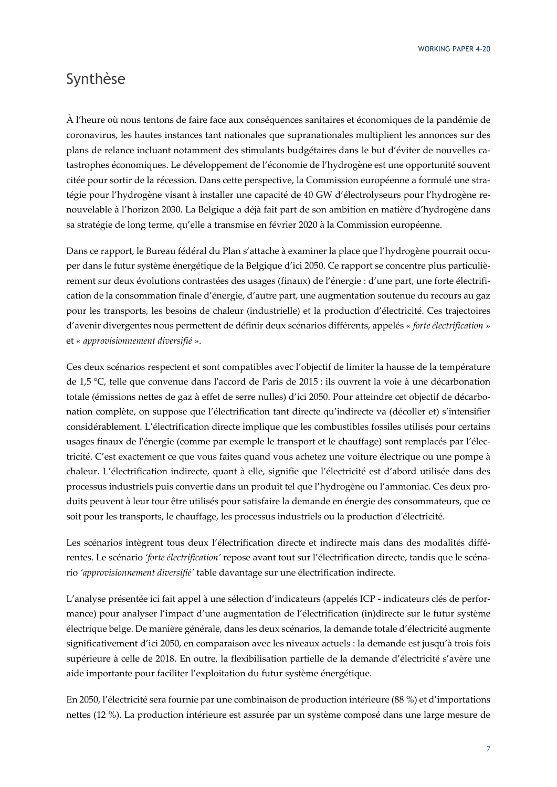### Synthèse

À l'heure où nous tentons de faire face aux conséquences sanitaires et économiques de la pandémie de coronavirus, les hautes instances tant nationales que supranationales multiplient les annonces sur des plans de relance incluant notamment des stimulants budgétaires dans le but d'éviter de nouvelles catastrophes économiques. Le développement de l'économie de l'hydrogène est une opportunité souvent citée pour sortir de la récession. Dans cette perspective, la Commission européenne a formulé une stratégie pour l'hydrogène visant à installer une capacité de 40 GW d'électrolyseurs pour l'hydrogène renouvelable à l'horizon 2030. La Belgique a déjà fait part de son ambition en matière d'hydrogène dans sa stratégie de long terme, qu'elle a transmise en février 2020 à la Commission européenne.

Dans ce rapport, le Bureau fédéral du Plan s'attache à examiner la place que l'hydrogène pourrait occuper dans le futur système énergétique de la Belgique d'ici 2050. Ce rapport se concentre plus particulièrement sur deux évolutions contrastées des usages (finaux) de l'énergie : d'une part, une forte électrification de la consommation finale d'énergie, d'autre part, une augmentation soutenue du recours au gaz pour les transports, les besoins de chaleur (industrielle) et la production d'électricité. Ces trajectoires d'avenir divergentes nous permettent de définir deux scénarios différents, appelés *« forte électrification »*  et *« approvisionnement diversifié »*.

Ces deux scénarios respectent et sont compatibles avec l'objectif de limiter la hausse de la température de 1,5 °C, telle que convenue dans l'accord de Paris de 2015 : ils ouvrent la voie à une décarbonation totale (émissions nettes de gaz à effet de serre nulles) d'ici 2050. Pour atteindre cet objectif de décarbonation complète, on suppose que l'électrification tant directe qu'indirecte va (décoller et) s'intensifier considérablement. L'électrification directe implique que les combustibles fossiles utilisés pour certains usages finaux de l'énergie (comme par exemple le transport et le chauffage) sont remplacés par l'électricité. C'est exactement ce que vous faites quand vous achetez une voiture électrique ou une pompe à chaleur. L'électrification indirecte, quant à elle, signifie que l'électricité est d'abord utilisée dans des processus industriels puis convertie dans un produit tel que l'hydrogène ou l'ammoniac. Ces deux produits peuvent à leur tour être utilisés pour satisfaire la demande en énergie des consommateurs, que ce soit pour les transports, le chauffage, les processus industriels ou la production d'électricité.

Les scénarios intègrent tous deux l'électrification directe et indirecte mais dans des modalités différentes. Le scénario *'forte électrification'* repose avant tout sur l'électrification directe, tandis que le scénario *'approvisionnement diversifié'* table davantage sur une électrification indirecte.

L'analyse présentée ici fait appel à une sélection d'indicateurs (appelés ICP - indicateurs clés de performance) pour analyser l'impact d'une augmentation de l'électrification (in)directe sur le futur système électrique belge. De manière générale, dans les deux scénarios, la demande totale d'électricité augmente significativement d'ici 2050, en comparaison avec les niveaux actuels : la demande est jusqu'à trois fois supérieure à celle de 2018. En outre, la flexibilisation partielle de la demande d'électricité s'avère une aide importante pour faciliter l'exploitation du futur système énergétique.

En 2050, l'électricité sera fournie par une combinaison de production intérieure (88 %) et d'importations nettes (12 %). La production intérieure est assurée par un système composé dans une large mesure de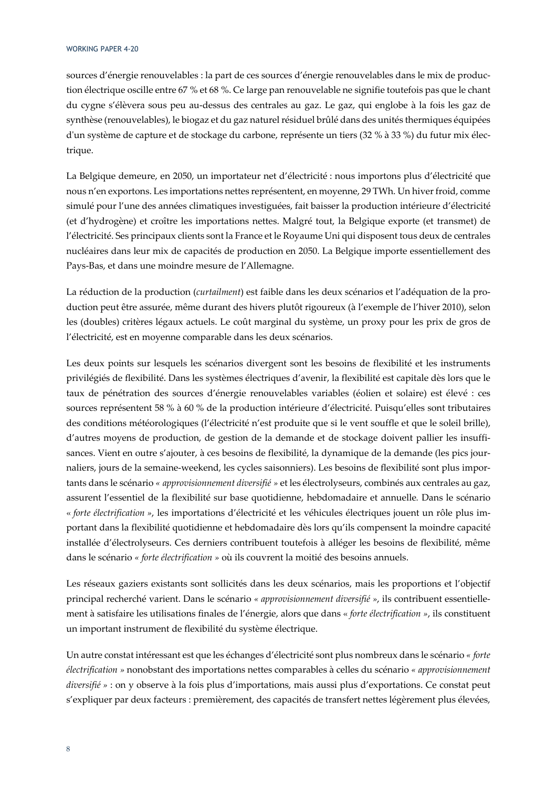sources d'énergie renouvelables : la part de ces sources d'énergie renouvelables dans le mix de production électrique oscille entre 67 % et 68 %. Ce large pan renouvelable ne signifie toutefois pas que le chant du cygne s'élèvera sous peu au-dessus des centrales au gaz. Le gaz, qui englobe à la fois les gaz de synthèse (renouvelables), le biogaz et du gaz naturel résiduel brûlé dans des unités thermiques équipées d'un système de capture et de stockage du carbone, représente un tiers (32 % à 33 %) du futur mix électrique.

La Belgique demeure, en 2050, un importateur net d'électricité : nous importons plus d'électricité que nous n'en exportons. Les importations nettes représentent, en moyenne, 29 TWh. Un hiver froid, comme simulé pour l'une des années climatiques investiguées, fait baisser la production intérieure d'électricité (et d'hydrogène) et croître les importations nettes. Malgré tout, la Belgique exporte (et transmet) de l'électricité. Ses principaux clients sont la France et le Royaume Uni qui disposent tous deux de centrales nucléaires dans leur mix de capacités de production en 2050. La Belgique importe essentiellement des Pays-Bas, et dans une moindre mesure de l'Allemagne.

La réduction de la production (*curtailment*) est faible dans les deux scénarios et l'adéquation de la production peut être assurée, même durant des hivers plutôt rigoureux (à l'exemple de l'hiver 2010), selon les (doubles) critères légaux actuels. Le coût marginal du système, un proxy pour les prix de gros de l'électricité, est en moyenne comparable dans les deux scénarios.

Les deux points sur lesquels les scénarios divergent sont les besoins de flexibilité et les instruments privilégiés de flexibilité. Dans les systèmes électriques d'avenir, la flexibilité est capitale dès lors que le taux de pénétration des sources d'énergie renouvelables variables (éolien et solaire) est élevé : ces sources représentent 58 % à 60 % de la production intérieure d'électricité. Puisqu'elles sont tributaires des conditions météorologiques (l'électricité n'est produite que si le vent souffle et que le soleil brille), d'autres moyens de production, de gestion de la demande et de stockage doivent pallier les insuffisances. Vient en outre s'ajouter, à ces besoins de flexibilité, la dynamique de la demande (les pics journaliers, jours de la semaine-weekend, les cycles saisonniers). Les besoins de flexibilité sont plus importants dans le scénario *« approvisionnement diversifié »* et les électrolyseurs, combinés aux centrales au gaz, assurent l'essentiel de la flexibilité sur base quotidienne, hebdomadaire et annuelle*.* Dans le scénario « *forte électrification »*, les importations d'électricité et les véhicules électriques jouent un rôle plus important dans la flexibilité quotidienne et hebdomadaire dès lors qu'ils compensent la moindre capacité installée d'électrolyseurs. Ces derniers contribuent toutefois à alléger les besoins de flexibilité, même dans le scénario *« forte électrification »* où ils couvrent la moitié des besoins annuels.

Les réseaux gaziers existants sont sollicités dans les deux scénarios, mais les proportions et l'objectif principal recherché varient. Dans le scénario *« approvisionnement diversifié »*, ils contribuent essentiellement à satisfaire les utilisations finales de l'énergie, alors que dans « *forte électrification »*, ils constituent un important instrument de flexibilité du système électrique.

Un autre constat intéressant est que les échanges d'électricité sont plus nombreux dans le scénario *« forte électrification »* nonobstant des importations nettes comparables à celles du scénario *« approvisionnement diversifié »* : on y observe à la fois plus d'importations, mais aussi plus d'exportations. Ce constat peut s'expliquer par deux facteurs : premièrement, des capacités de transfert nettes légèrement plus élevées,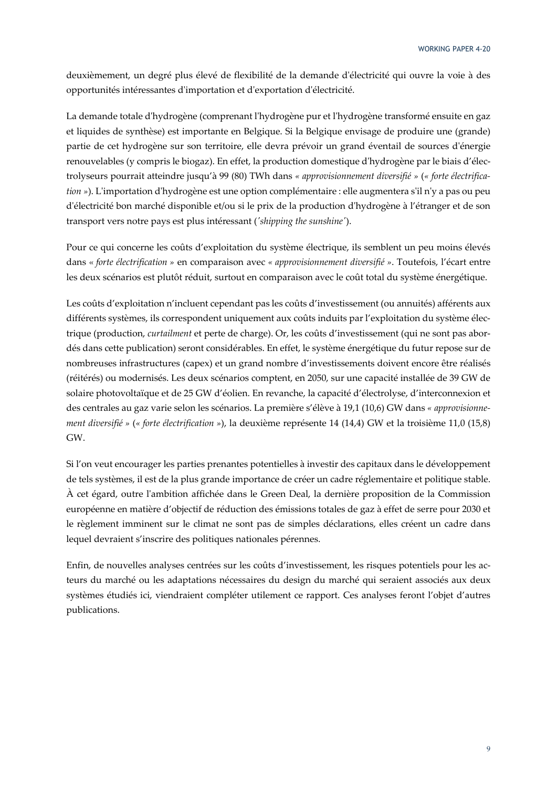deuxièmement, un degré plus élevé de flexibilité de la demande d'électricité qui ouvre la voie à des opportunités intéressantes d'importation et d'exportation d'électricité.

La demande totale d'hydrogène (comprenant l'hydrogène pur et l'hydrogène transformé ensuite en gaz et liquides de synthèse) est importante en Belgique. Si la Belgique envisage de produire une (grande) partie de cet hydrogène sur son territoire, elle devra prévoir un grand éventail de sources d'énergie renouvelables (y compris le biogaz). En effet, la production domestique d'hydrogène par le biais d'électrolyseurs pourrait atteindre jusqu'à 99 (80) TWh dans *« approvisionnement diversifié »* (*« forte électrification »*). L'importation d'hydrogène est une option complémentaire : elle augmentera s'il n'y a pas ou peu d'électricité bon marché disponible et/ou si le prix de la production d'hydrogène à l'étranger et de son transport vers notre pays est plus intéressant (*'shipping the sunshine'*).

Pour ce qui concerne les coûts d'exploitation du système électrique, ils semblent un peu moins élevés dans « *forte électrification »* en comparaison avec *« approvisionnement diversifié »*. Toutefois, l'écart entre les deux scénarios est plutôt réduit, surtout en comparaison avec le coût total du système énergétique.

Les coûts d'exploitation n'incluent cependant pas les coûts d'investissement (ou annuités) afférents aux différents systèmes, ils correspondent uniquement aux coûts induits par l'exploitation du système électrique (production, *curtailment* et perte de charge). Or, les coûts d'investissement (qui ne sont pas abordés dans cette publication) seront considérables. En effet, le système énergétique du futur repose sur de nombreuses infrastructures (capex) et un grand nombre d'investissements doivent encore être réalisés (réitérés) ou modernisés. Les deux scénarios comptent, en 2050, sur une capacité installée de 39 GW de solaire photovoltaïque et de 25 GW d'éolien. En revanche, la capacité d'électrolyse, d'interconnexion et des centrales au gaz varie selon les scénarios. La première s'élève à 19,1 (10,6) GW dans *« approvisionnement diversifié »* (*« forte électrification »*), la deuxième représente 14 (14,4) GW et la troisième 11,0 (15,8) GW.

Si l'on veut encourager les parties prenantes potentielles à investir des capitaux dans le développement de tels systèmes, il est de la plus grande importance de créer un cadre réglementaire et politique stable. À cet égard, outre l'ambition affichée dans le Green Deal, la dernière proposition de la Commission européenne en matière d'objectif de réduction des émissions totales de gaz à effet de serre pour 2030 et le règlement imminent sur le climat ne sont pas de simples déclarations, elles créent un cadre dans lequel devraient s'inscrire des politiques nationales pérennes.

Enfin, de nouvelles analyses centrées sur les coûts d'investissement, les risques potentiels pour les acteurs du marché ou les adaptations nécessaires du design du marché qui seraient associés aux deux systèmes étudiés ici, viendraient compléter utilement ce rapport. Ces analyses feront l'objet d'autres publications.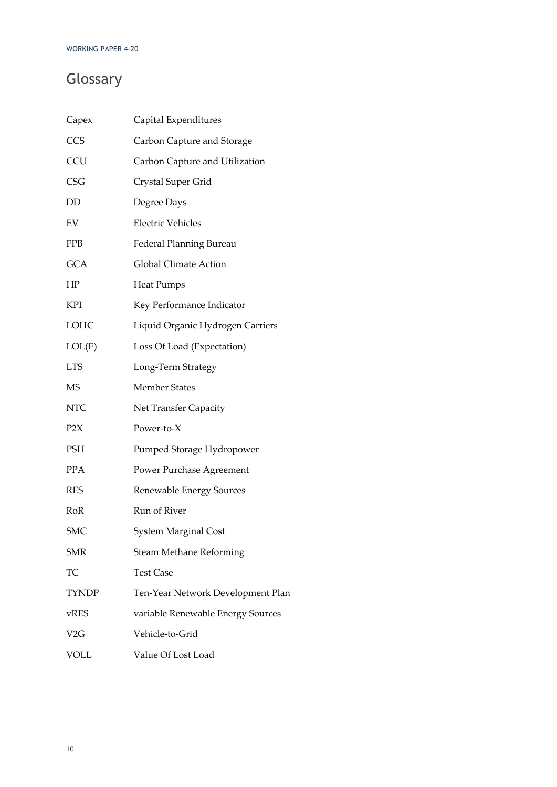# Glossary

| Capex            | Capital Expenditures              |
|------------------|-----------------------------------|
| CCS              | Carbon Capture and Storage        |
| <b>CCU</b>       | Carbon Capture and Utilization    |
| <b>CSG</b>       | Crystal Super Grid                |
| DD               | Degree Days                       |
| EV               | <b>Electric Vehicles</b>          |
| <b>FPB</b>       | <b>Federal Planning Bureau</b>    |
| <b>GCA</b>       | Global Climate Action             |
| HP               | <b>Heat Pumps</b>                 |
| <b>KPI</b>       | Key Performance Indicator         |
| LOHC             | Liquid Organic Hydrogen Carriers  |
| LOL(E)           | Loss Of Load (Expectation)        |
| <b>LTS</b>       | Long-Term Strategy                |
| <b>MS</b>        | <b>Member States</b>              |
| <b>NTC</b>       | Net Transfer Capacity             |
| P <sub>2</sub> X | Power-to-X                        |
| PSH              | Pumped Storage Hydropower         |
| <b>PPA</b>       | Power Purchase Agreement          |
| <b>RES</b>       | Renewable Energy Sources          |
| RoR              | Run of River                      |
| <b>SMC</b>       | <b>System Marginal Cost</b>       |
| <b>SMR</b>       | <b>Steam Methane Reforming</b>    |
| TС               | <b>Test Case</b>                  |
| <b>TYNDP</b>     | Ten-Year Network Development Plan |
| vRES             | variable Renewable Energy Sources |
| V2G              | Vehicle-to-Grid                   |
| <b>VOLL</b>      | Value Of Lost Load                |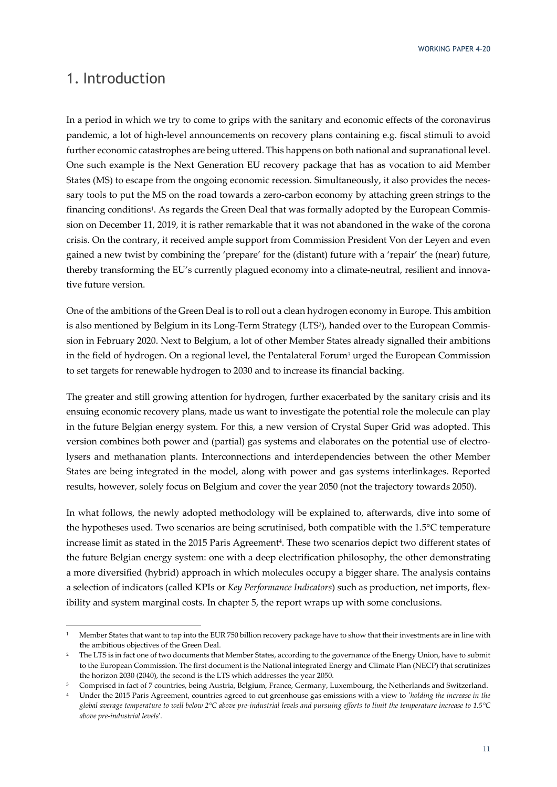### 1. Introduction

In a period in which we try to come to grips with the sanitary and economic effects of the coronavirus pandemic, a lot of high-level announcements on recovery plans containing e.g. fiscal stimuli to avoid further economic catastrophes are being uttered. This happens on both national and supranational level. One such example is the Next Generation EU recovery package that has as vocation to aid Member States (MS) to escape from the ongoing economic recession. Simultaneously, it also provides the necessary tools to put the MS on the road towards a zero-carbon economy by attaching green strings to the financing conditions1. As regards the Green Deal that was formally adopted by the European Commission on December 11, 2019, it is rather remarkable that it was not abandoned in the wake of the corona crisis. On the contrary, it received ample support from Commission President Von der Leyen and even gained a new twist by combining the 'prepare' for the (distant) future with a 'repair' the (near) future, thereby transforming the EU's currently plagued economy into a climate-neutral, resilient and innovative future version.

One of the ambitions of the Green Deal is to roll out a clean hydrogen economy in Europe. This ambition is also mentioned by Belgium in its Long-Term Strategy (LTS<sup>2</sup>), handed over to the European Commission in February 2020. Next to Belgium, a lot of other Member States already signalled their ambitions in the field of hydrogen. On a regional level, the Pentalateral Forum<sup>3</sup> urged the European Commission to set targets for renewable hydrogen to 2030 and to increase its financial backing.

The greater and still growing attention for hydrogen, further exacerbated by the sanitary crisis and its ensuing economic recovery plans, made us want to investigate the potential role the molecule can play in the future Belgian energy system. For this, a new version of Crystal Super Grid was adopted. This version combines both power and (partial) gas systems and elaborates on the potential use of electrolysers and methanation plants. Interconnections and interdependencies between the other Member States are being integrated in the model, along with power and gas systems interlinkages. Reported results, however, solely focus on Belgium and cover the year 2050 (not the trajectory towards 2050).

In what follows, the newly adopted methodology will be explained to, afterwards, dive into some of the hypotheses used. Two scenarios are being scrutinised, both compatible with the 1.5°C temperature increase limit as stated in the 2015 Paris Agreement<sup>4</sup>. These two scenarios depict two different states of the future Belgian energy system: one with a deep electrification philosophy, the other demonstrating a more diversified (hybrid) approach in which molecules occupy a bigger share. The analysis contains a selection of indicators (called KPIs or *Key Performance Indicators*) such as production, net imports, flexibility and system marginal costs. In chapter 5, the report wraps up with some conclusions.

<sup>1</sup> Member States that want to tap into the EUR 750 billion recovery package have to show that their investments are in line with the ambitious objectives of the Green Deal.

<sup>2</sup> The LTS is in fact one of two documents that Member States, according to the governance of the Energy Union, have to submit to the European Commission. The first document is the National integrated Energy and Climate Plan (NECP) that scrutinizes the horizon 2030 (2040), the second is the LTS which addresses the year 2050.

<sup>&</sup>lt;sup>3</sup> Comprised in fact of 7 countries, being Austria, Belgium, France, Germany, Luxembourg, the Netherlands and Switzerland.

<sup>4</sup> Under the 2015 Paris Agreement, countries agreed to cut greenhouse gas emissions with a view to *'holding the increase in the global average temperature to well below 2°C above pre-industrial levels and pursuing efforts to limit the temperature increase to 1.5°C above pre-industrial levels*'.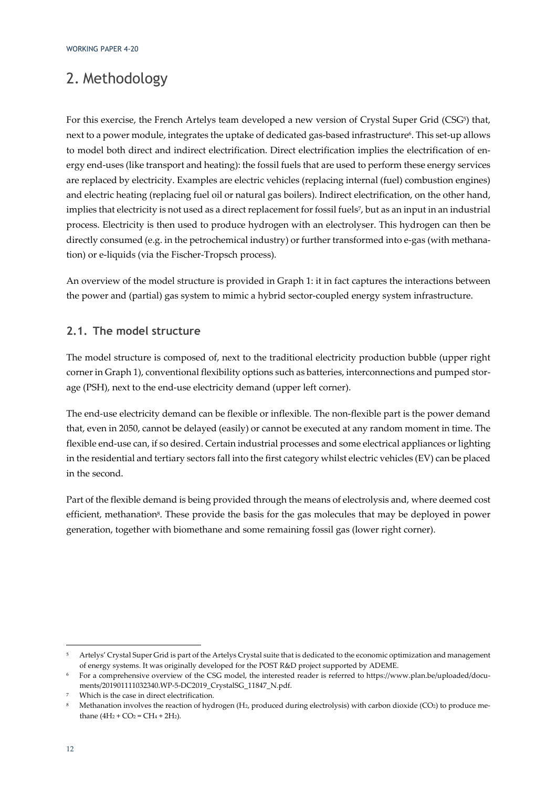# 2. Methodology

For this exercise, the French Artelys team developed a new version of Crystal Super Grid (CSG<sup>5</sup>) that, next to a power module, integrates the uptake of dedicated gas-based infrastructure6. This set-up allows to model both direct and indirect electrification. Direct electrification implies the electrification of energy end-uses (like transport and heating): the fossil fuels that are used to perform these energy services are replaced by electricity. Examples are electric vehicles (replacing internal (fuel) combustion engines) and electric heating (replacing fuel oil or natural gas boilers). Indirect electrification, on the other hand, implies that electricity is not used as a direct replacement for fossil fuels7, but as an input in an industrial process. Electricity is then used to produce hydrogen with an electrolyser. This hydrogen can then be directly consumed (e.g. in the petrochemical industry) or further transformed into e-gas (with methanation) or e-liquids (via the Fischer-Tropsch process).

An overview of the model structure is provided in Graph 1: it in fact captures the interactions between the power and (partial) gas system to mimic a hybrid sector-coupled energy system infrastructure.

### **2.1. The model structure**

The model structure is composed of, next to the traditional electricity production bubble (upper right corner in Graph 1), conventional flexibility options such as batteries, interconnections and pumped storage (PSH), next to the end-use electricity demand (upper left corner).

The end-use electricity demand can be flexible or inflexible. The non-flexible part is the power demand that, even in 2050, cannot be delayed (easily) or cannot be executed at any random moment in time. The flexible end-use can, if so desired. Certain industrial processes and some electrical appliances or lighting in the residential and tertiary sectors fall into the first category whilst electric vehicles (EV) can be placed in the second.

Part of the flexible demand is being provided through the means of electrolysis and, where deemed cost efficient, methanation<sup>8</sup>. These provide the basis for the gas molecules that may be deployed in power generation, together with biomethane and some remaining fossil gas (lower right corner).

<sup>5</sup> Artelys' Crystal Super Grid is part of the Artelys Crystal suite that is dedicated to the economic optimization and management of energy systems. It was originally developed for the POST R&D project supported by ADEME.

<sup>6</sup> For a comprehensive overview of the CSG model, the interested reader is referred to https://www.plan.be/uploaded/documents/201901111032340.WP-5-DC2019\_CrystalSG\_11847\_N.pdf.

Which is the case in direct electrification.

<sup>8</sup> Methanation involves the reaction of hydrogen (H2, produced during electrolysis) with carbon dioxide (CO2) to produce methane  $(4H_2 + CO_2 = CH_4 + 2H_2)$ .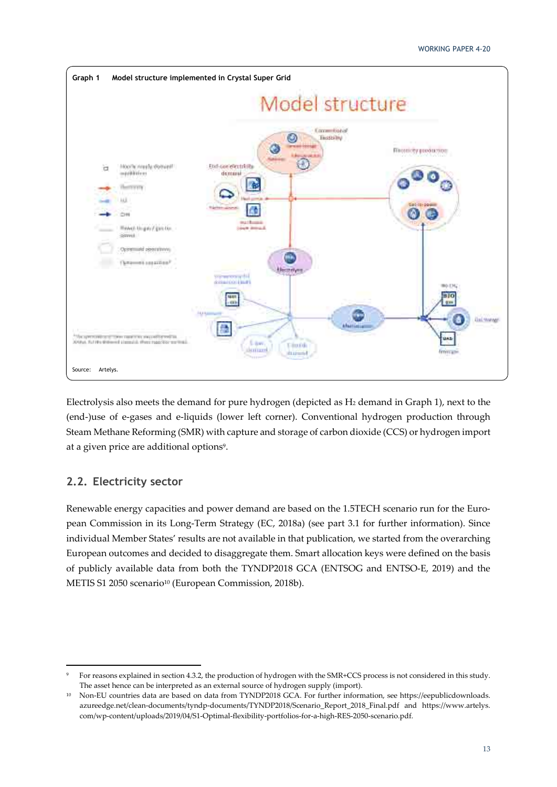

Electrolysis also meets the demand for pure hydrogen (depicted as H2 demand in Graph 1), next to the (end-)use of e-gases and e-liquids (lower left corner). Conventional hydrogen production through Steam Methane Reforming (SMR) with capture and storage of carbon dioxide (CCS) or hydrogen import at a given price are additional options<sup>9</sup>.

### **2.2. Electricity sector**

Renewable energy capacities and power demand are based on the 1.5TECH scenario run for the European Commission in its Long-Term Strategy (EC, 2018a) (see part 3.1 for further information). Since individual Member States' results are not available in that publication, we started from the overarching European outcomes and decided to disaggregate them. Smart allocation keys were defined on the basis of publicly available data from both the TYNDP2018 GCA (ENTSOG and ENTSO-E, 2019) and the METIS S1 2050 scenario10 (European Commission, 2018b).

<sup>9</sup> For reasons explained in section 4.3.2, the production of hydrogen with the SMR+CCS process is not considered in this study. The asset hence can be interpreted as an external source of hydrogen supply (import).

<sup>10</sup> Non-EU countries data are based on data from TYNDP2018 GCA. For further information, see https://eepublicdownloads. azureedge.net/clean-documents/tyndp-documents/TYNDP2018/Scenario\_Report\_2018\_Final.pdf and https://www.artelys. com/wp-content/uploads/2019/04/S1-Optimal-flexibility-portfolios-for-a-high-RES-2050-scenario.pdf.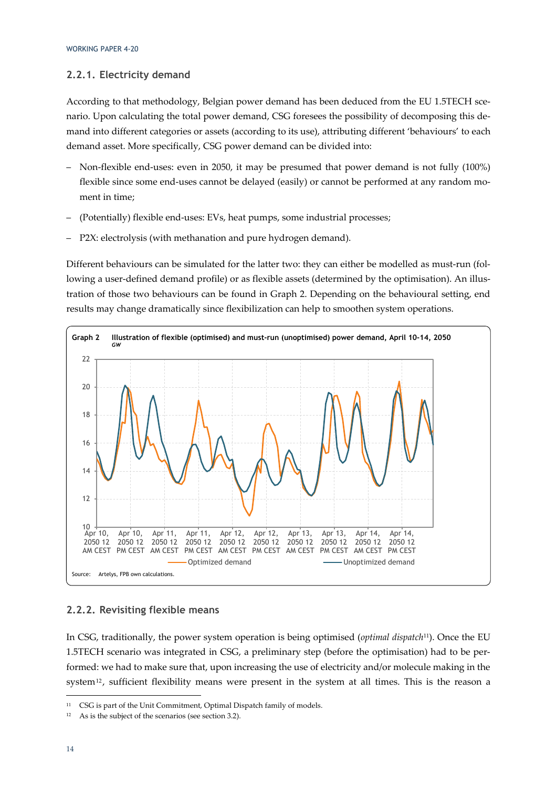### **2.2.1. Electricity demand**

According to that methodology, Belgian power demand has been deduced from the EU 1.5TECH scenario. Upon calculating the total power demand, CSG foresees the possibility of decomposing this demand into different categories or assets (according to its use), attributing different 'behaviours' to each demand asset. More specifically, CSG power demand can be divided into:

- Non-flexible end-uses: even in 2050, it may be presumed that power demand is not fully (100%) flexible since some end-uses cannot be delayed (easily) or cannot be performed at any random moment in time;
- (Potentially) flexible end-uses: EVs, heat pumps, some industrial processes;
- P2X: electrolysis (with methanation and pure hydrogen demand).

Different behaviours can be simulated for the latter two: they can either be modelled as must-run (following a user-defined demand profile) or as flexible assets (determined by the optimisation). An illustration of those two behaviours can be found in Graph 2. Depending on the behavioural setting, end results may change dramatically since flexibilization can help to smoothen system operations.



### **2.2.2. Revisiting flexible means**

In CSG, traditionally, the power system operation is being optimised (*optimal dispatch*11). Once the EU 1.5TECH scenario was integrated in CSG, a preliminary step (before the optimisation) had to be performed: we had to make sure that, upon increasing the use of electricity and/or molecule making in the system<sup>12</sup>, sufficient flexibility means were present in the system at all times. This is the reason a

<sup>&</sup>lt;sup>11</sup> CSG is part of the Unit Commitment, Optimal Dispatch family of models.

<sup>12</sup> As is the subject of the scenarios (see section 3.2).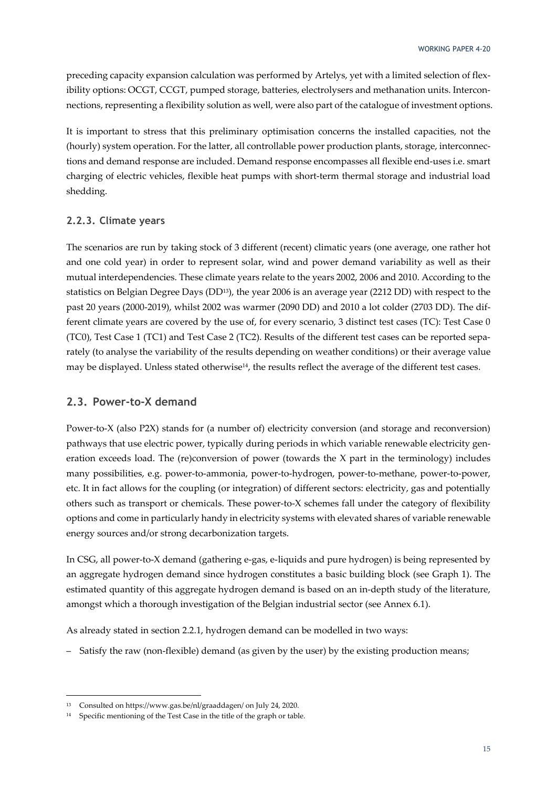preceding capacity expansion calculation was performed by Artelys, yet with a limited selection of flexibility options: OCGT, CCGT, pumped storage, batteries, electrolysers and methanation units. Interconnections, representing a flexibility solution as well, were also part of the catalogue of investment options.

It is important to stress that this preliminary optimisation concerns the installed capacities, not the (hourly) system operation. For the latter, all controllable power production plants, storage, interconnections and demand response are included. Demand response encompasses all flexible end-uses i.e. smart charging of electric vehicles, flexible heat pumps with short-term thermal storage and industrial load shedding.

### **2.2.3. Climate years**

The scenarios are run by taking stock of 3 different (recent) climatic years (one average, one rather hot and one cold year) in order to represent solar, wind and power demand variability as well as their mutual interdependencies. These climate years relate to the years 2002, 2006 and 2010. According to the statistics on Belgian Degree Days (DD13), the year 2006 is an average year (2212 DD) with respect to the past 20 years (2000-2019), whilst 2002 was warmer (2090 DD) and 2010 a lot colder (2703 DD). The different climate years are covered by the use of, for every scenario, 3 distinct test cases (TC): Test Case 0 (TC0), Test Case 1 (TC1) and Test Case 2 (TC2). Results of the different test cases can be reported separately (to analyse the variability of the results depending on weather conditions) or their average value may be displayed. Unless stated otherwise<sup>14</sup>, the results reflect the average of the different test cases.

### **2.3. Power-to-X demand**

Power-to-X (also P2X) stands for (a number of) electricity conversion (and storage and reconversion) pathways that use electric power, typically during periods in which variable renewable electricity generation exceeds load. The (re)conversion of power (towards the X part in the terminology) includes many possibilities, e.g. power-to-ammonia, power-to-hydrogen, power-to-methane, power-to-power, etc. It in fact allows for the coupling (or integration) of different sectors: electricity, gas and potentially others such as transport or chemicals. These power-to-X schemes fall under the category of flexibility options and come in particularly handy in electricity systems with elevated shares of variable renewable energy sources and/or strong decarbonization targets.

In CSG, all power-to-X demand (gathering e-gas, e-liquids and pure hydrogen) is being represented by an aggregate hydrogen demand since hydrogen constitutes a basic building block (see Graph 1). The estimated quantity of this aggregate hydrogen demand is based on an in-depth study of the literature, amongst which a thorough investigation of the Belgian industrial sector (see Annex 6.1).

As already stated in section 2.2.1, hydrogen demand can be modelled in two ways:

– Satisfy the raw (non-flexible) demand (as given by the user) by the existing production means;

<sup>13</sup> Consulted on https://www.gas.be/nl/graaddagen/ on July 24, 2020.

<sup>14</sup> Specific mentioning of the Test Case in the title of the graph or table.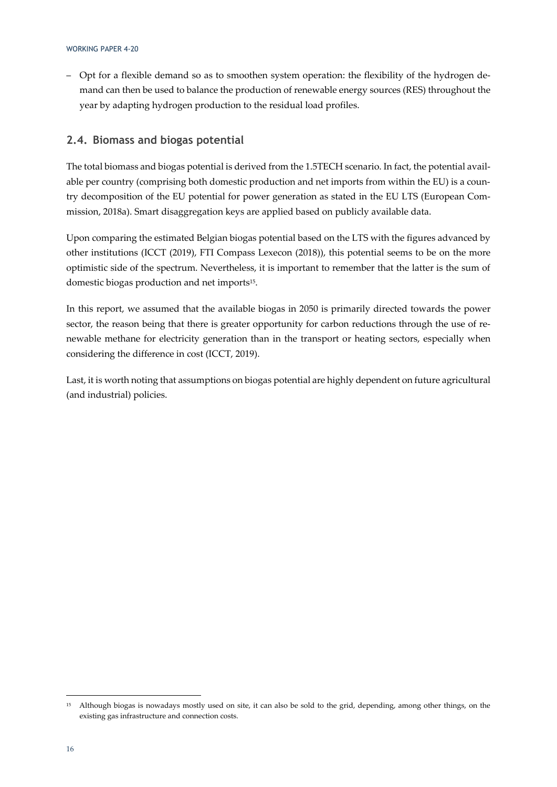– Opt for a flexible demand so as to smoothen system operation: the flexibility of the hydrogen demand can then be used to balance the production of renewable energy sources (RES) throughout the year by adapting hydrogen production to the residual load profiles.

### **2.4. Biomass and biogas potential**

The total biomass and biogas potential is derived from the 1.5TECH scenario. In fact, the potential available per country (comprising both domestic production and net imports from within the EU) is a country decomposition of the EU potential for power generation as stated in the EU LTS (European Commission, 2018a). Smart disaggregation keys are applied based on publicly available data.

Upon comparing the estimated Belgian biogas potential based on the LTS with the figures advanced by other institutions (ICCT (2019), FTI Compass Lexecon (2018)), this potential seems to be on the more optimistic side of the spectrum. Nevertheless, it is important to remember that the latter is the sum of domestic biogas production and net imports<sup>15</sup>.

In this report, we assumed that the available biogas in 2050 is primarily directed towards the power sector, the reason being that there is greater opportunity for carbon reductions through the use of renewable methane for electricity generation than in the transport or heating sectors, especially when considering the difference in cost (ICCT, 2019).

Last, it is worth noting that assumptions on biogas potential are highly dependent on future agricultural (and industrial) policies.

<sup>15</sup> Although biogas is nowadays mostly used on site, it can also be sold to the grid, depending, among other things, on the existing gas infrastructure and connection costs.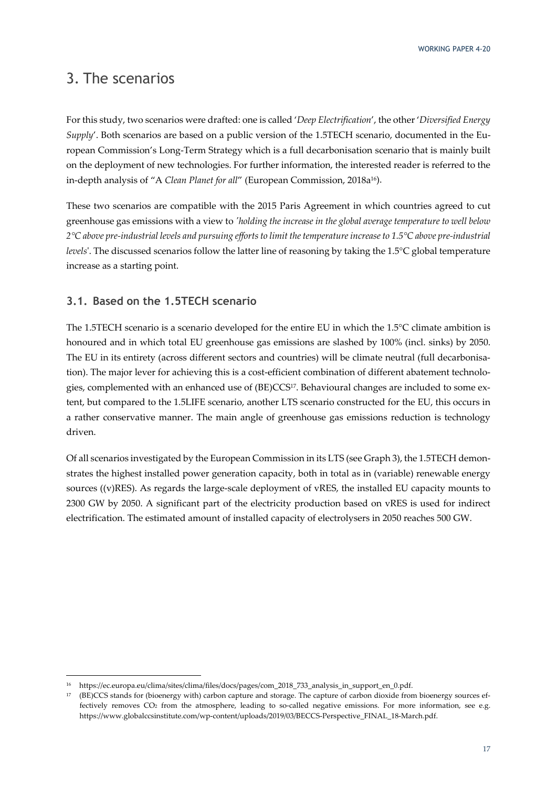## 3. The scenarios

For this study, two scenarios were drafted: one is called '*Deep Electrification*', the other '*Diversified Energy Supply*'. Both scenarios are based on a public version of the 1.5TECH scenario, documented in the European Commission's Long-Term Strategy which is a full decarbonisation scenario that is mainly built on the deployment of new technologies. For further information, the interested reader is referred to the in-depth analysis of "A *Clean Planet for all"* (European Commission, 2018a<sup>16</sup>).

These two scenarios are compatible with the 2015 Paris Agreement in which countries agreed to cut greenhouse gas emissions with a view to *'holding the increase in the global average temperature to well below 2°C above pre-industrial levels and pursuing efforts to limit the temperature increase to 1.5°C above pre-industrial levels*'. The discussed scenarios follow the latter line of reasoning by taking the 1.5°C global temperature increase as a starting point.

### **3.1. Based on the 1.5TECH scenario**

The 1.5TECH scenario is a scenario developed for the entire EU in which the 1.5°C climate ambition is honoured and in which total EU greenhouse gas emissions are slashed by 100% (incl. sinks) by 2050. The EU in its entirety (across different sectors and countries) will be climate neutral (full decarbonisation). The major lever for achieving this is a cost-efficient combination of different abatement technologies, complemented with an enhanced use of (BE)CCS17. Behavioural changes are included to some extent, but compared to the 1.5LIFE scenario, another LTS scenario constructed for the EU, this occurs in a rather conservative manner. The main angle of greenhouse gas emissions reduction is technology driven.

Of all scenarios investigated by the European Commission in its LTS (see Graph 3), the 1.5TECH demonstrates the highest installed power generation capacity, both in total as in (variable) renewable energy sources ((v)RES). As regards the large-scale deployment of vRES, the installed EU capacity mounts to 2300 GW by 2050. A significant part of the electricity production based on vRES is used for indirect electrification. The estimated amount of installed capacity of electrolysers in 2050 reaches 500 GW.

<sup>16</sup> https://ec.europa.eu/clima/sites/clima/files/docs/pages/com\_2018\_733\_analysis\_in\_support\_en\_0.pdf.

<sup>17 (</sup>BE)CCS stands for (bioenergy with) carbon capture and storage. The capture of carbon dioxide from bioenergy sources effectively removes CO2 from the atmosphere, leading to so-called negative emissions. For more information, see e.g. https://www.globalccsinstitute.com/wp-content/uploads/2019/03/BECCS-Perspective\_FINAL\_18-March.pdf.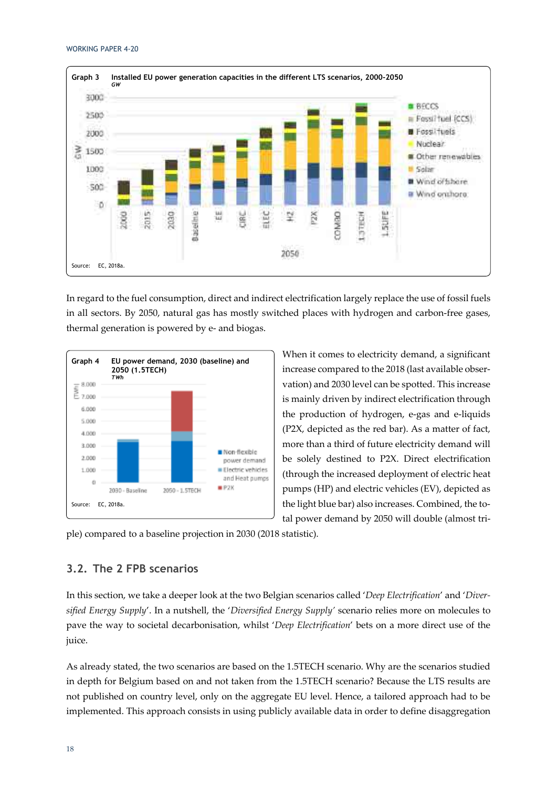

In regard to the fuel consumption, direct and indirect electrification largely replace the use of fossil fuels in all sectors. By 2050, natural gas has mostly switched places with hydrogen and carbon-free gases, thermal generation is powered by e- and biogas.



When it comes to electricity demand, a significant increase compared to the 2018 (last available observation) and 2030 level can be spotted. This increase is mainly driven by indirect electrification through the production of hydrogen, e-gas and e-liquids (P2X, depicted as the red bar). As a matter of fact, more than a third of future electricity demand will be solely destined to P2X. Direct electrification (through the increased deployment of electric heat pumps (HP) and electric vehicles (EV), depicted as the light blue bar) also increases. Combined, the total power demand by 2050 will double (almost tri-

ple) compared to a baseline projection in 2030 (2018 statistic).

### **3.2. The 2 FPB scenarios**

In this section, we take a deeper look at the two Belgian scenarios called '*Deep Electrification*' and '*Diversified Energy Supply*'. In a nutshell, the '*Diversified Energy Supply'* scenario relies more on molecules to pave the way to societal decarbonisation, whilst '*Deep Electrification*' bets on a more direct use of the juice.

As already stated, the two scenarios are based on the 1.5TECH scenario. Why are the scenarios studied in depth for Belgium based on and not taken from the 1.5TECH scenario? Because the LTS results are not published on country level, only on the aggregate EU level. Hence, a tailored approach had to be implemented. This approach consists in using publicly available data in order to define disaggregation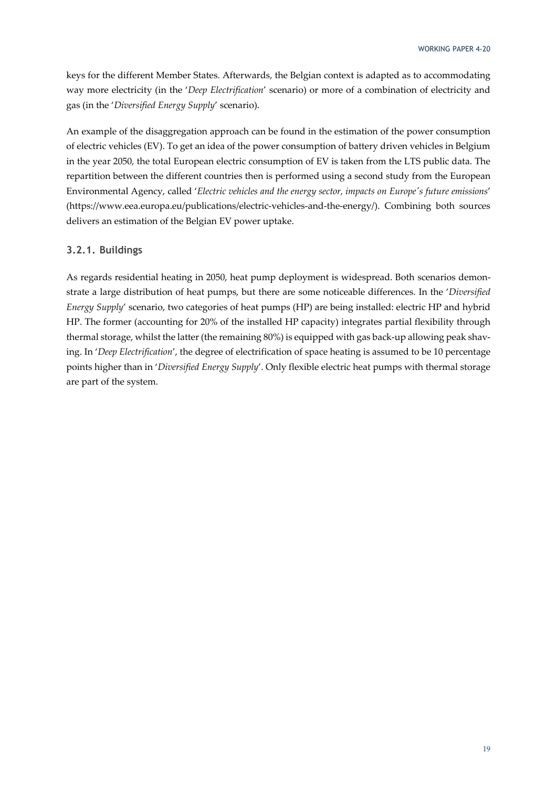keys for the different Member States. Afterwards, the Belgian context is adapted as to accommodating way more electricity (in the '*Deep Electrification*' scenario) or more of a combination of electricity and gas (in the '*Diversified Energy Supply*' scenario).

An example of the disaggregation approach can be found in the estimation of the power consumption of electric vehicles (EV). To get an idea of the power consumption of battery driven vehicles in Belgium in the year 2050, the total European electric consumption of EV is taken from the LTS public data. The repartition between the different countries then is performed using a second study from the European Environmental Agency, called '*Electric vehicles and the energy sector, impacts on Europe's future emissions*' (https://www.eea.europa.eu/publications/electric-vehicles-and-the-energy/). Combining both sources delivers an estimation of the Belgian EV power uptake.

### **3.2.1. Buildings**

As regards residential heating in 2050, heat pump deployment is widespread. Both scenarios demonstrate a large distribution of heat pumps, but there are some noticeable differences. In the '*Diversified Energy Supply*' scenario, two categories of heat pumps (HP) are being installed: electric HP and hybrid HP. The former (accounting for 20% of the installed HP capacity) integrates partial flexibility through thermal storage, whilst the latter (the remaining 80%) is equipped with gas back-up allowing peak shaving. In '*Deep Electrification*', the degree of electrification of space heating is assumed to be 10 percentage points higher than in '*Diversified Energy Supply*'. Only flexible electric heat pumps with thermal storage are part of the system.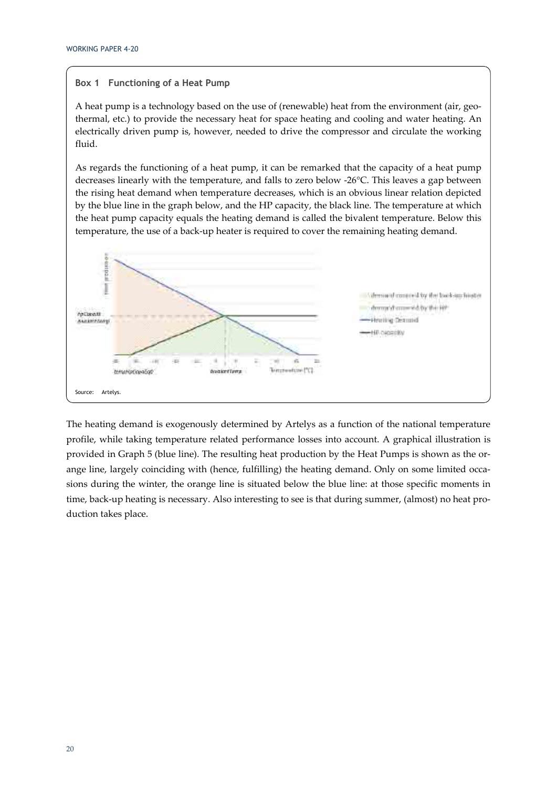### **Box 1 Functioning of a Heat Pump**

A heat pump is a technology based on the use of (renewable) heat from the environment (air, geothermal, etc.) to provide the necessary heat for space heating and cooling and water heating. An electrically driven pump is, however, needed to drive the compressor and circulate the working fluid.

As regards the functioning of a heat pump, it can be remarked that the capacity of a heat pump decreases linearly with the temperature, and falls to zero below -26°C. This leaves a gap between the rising heat demand when temperature decreases, which is an obvious linear relation depicted by the blue line in the graph below, and the HP capacity, the black line. The temperature at which the heat pump capacity equals the heating demand is called the bivalent temperature. Below this temperature, the use of a back-up heater is required to cover the remaining heating demand.



The heating demand is exogenously determined by Artelys as a function of the national temperature profile, while taking temperature related performance losses into account. A graphical illustration is provided in Graph 5 (blue line). The resulting heat production by the Heat Pumps is shown as the orange line, largely coinciding with (hence, fulfilling) the heating demand. Only on some limited occasions during the winter, the orange line is situated below the blue line: at those specific moments in time, back-up heating is necessary. Also interesting to see is that during summer, (almost) no heat production takes place.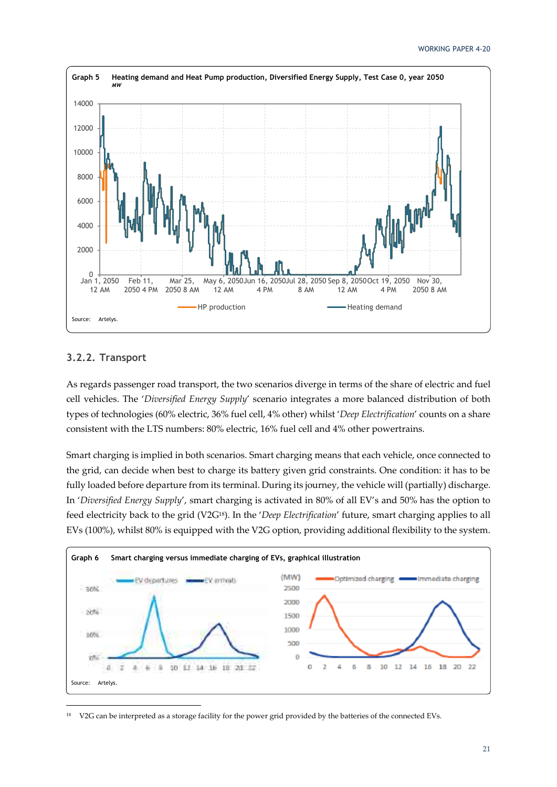

### **3.2.2. Transport**

As regards passenger road transport, the two scenarios diverge in terms of the share of electric and fuel cell vehicles. The '*Diversified Energy Supply*' scenario integrates a more balanced distribution of both types of technologies (60% electric, 36% fuel cell, 4% other) whilst '*Deep Electrification*' counts on a share consistent with the LTS numbers: 80% electric, 16% fuel cell and 4% other powertrains.

Smart charging is implied in both scenarios. Smart charging means that each vehicle, once connected to the grid, can decide when best to charge its battery given grid constraints. One condition: it has to be fully loaded before departure from its terminal. During its journey, the vehicle will (partially) discharge. In '*Diversified Energy Supply*', smart charging is activated in 80% of all EV's and 50% has the option to feed electricity back to the grid (V2G18). In the '*Deep Electrification*' future, smart charging applies to all EVs (100%), whilst 80% is equipped with the V2G option, providing additional flexibility to the system.



<sup>18</sup> V2G can be interpreted as a storage facility for the power grid provided by the batteries of the connected EVs.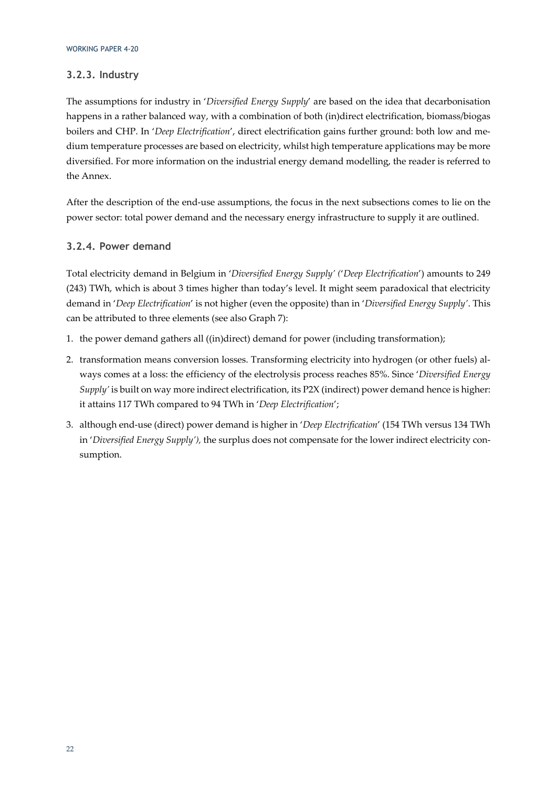### **3.2.3. Industry**

The assumptions for industry in '*Diversified Energy Supply*' are based on the idea that decarbonisation happens in a rather balanced way, with a combination of both (in)direct electrification, biomass/biogas boilers and CHP. In '*Deep Electrification*', direct electrification gains further ground: both low and medium temperature processes are based on electricity, whilst high temperature applications may be more diversified. For more information on the industrial energy demand modelling, the reader is referred to the Annex.

After the description of the end-use assumptions, the focus in the next subsections comes to lie on the power sector: total power demand and the necessary energy infrastructure to supply it are outlined.

### **3.2.4. Power demand**

Total electricity demand in Belgium in '*Diversified Energy Supply' (*'*Deep Electrification*') amounts to 249 (243) TWh, which is about 3 times higher than today's level. It might seem paradoxical that electricity demand in '*Deep Electrification*' is not higher (even the opposite) than in '*Diversified Energy Supply'*. This can be attributed to three elements (see also Graph 7):

- 1. the power demand gathers all ((in)direct) demand for power (including transformation);
- 2. transformation means conversion losses. Transforming electricity into hydrogen (or other fuels) always comes at a loss: the efficiency of the electrolysis process reaches 85%. Since '*Diversified Energy Supply'* is built on way more indirect electrification, its P2X (indirect) power demand hence is higher: it attains 117 TWh compared to 94 TWh in '*Deep Electrification*';
- 3. although end-use (direct) power demand is higher in '*Deep Electrification*' (154 TWh versus 134 TWh in '*Diversified Energy Supply'),* the surplus does not compensate for the lower indirect electricity consumption.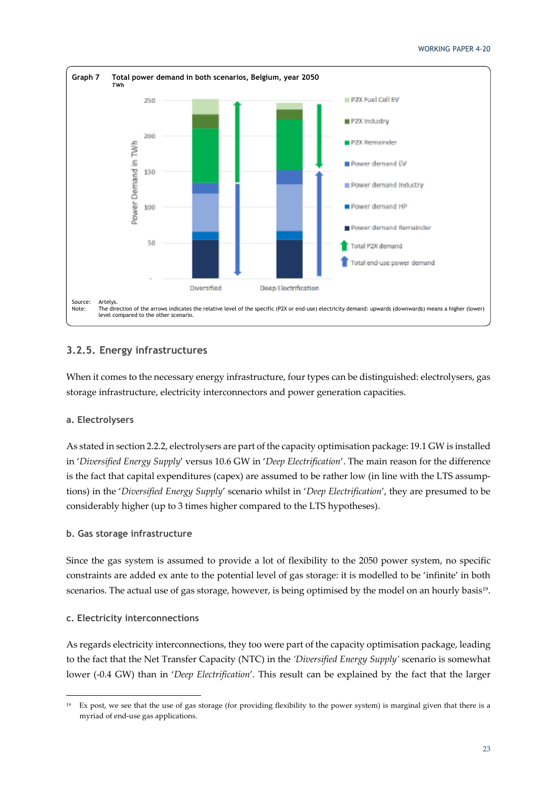

### **3.2.5. Energy infrastructures**

When it comes to the necessary energy infrastructure, four types can be distinguished: electrolysers, gas storage infrastructure, electricity interconnectors and power generation capacities.

### **a. Electrolysers**

As stated in section 2.2.2, electrolysers are part of the capacity optimisation package: 19.1 GW is installed in '*Diversified Energy Supply*' versus 10.6 GW in '*Deep Electrification*'. The main reason for the difference is the fact that capital expenditures (capex) are assumed to be rather low (in line with the LTS assumptions) in the '*Diversified Energy Supply*' scenario whilst in '*Deep Electrification*', they are presumed to be considerably higher (up to 3 times higher compared to the LTS hypotheses).

### **b. Gas storage infrastructure**

Since the gas system is assumed to provide a lot of flexibility to the 2050 power system, no specific constraints are added ex ante to the potential level of gas storage: it is modelled to be 'infinite' in both scenarios. The actual use of gas storage, however, is being optimised by the model on an hourly basis<sup>19</sup>.

### **c. Electricity interconnections**

As regards electricity interconnections, they too were part of the capacity optimisation package, leading to the fact that the Net Transfer Capacity (NTC) in the *'Diversified Energy Supply'* scenario is somewhat lower (-0.4 GW) than in '*Deep Electrification*'. This result can be explained by the fact that the larger

<sup>19</sup> Ex post, we see that the use of gas storage (for providing flexibility to the power system) is marginal given that there is a myriad of end-use gas applications.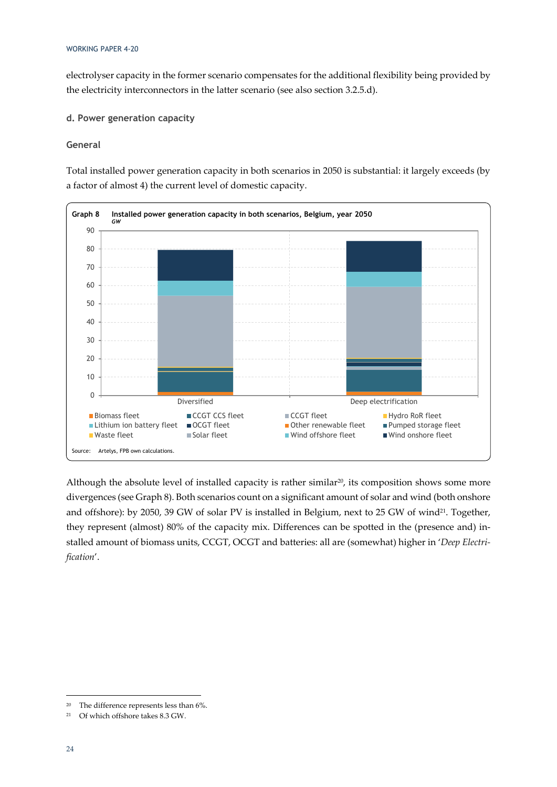electrolyser capacity in the former scenario compensates for the additional flexibility being provided by the electricity interconnectors in the latter scenario (see also section 3.2.5.d).

### **d. Power generation capacity**

### **General**

Total installed power generation capacity in both scenarios in 2050 is substantial: it largely exceeds (by a factor of almost 4) the current level of domestic capacity.



Although the absolute level of installed capacity is rather similar<sup>20</sup>, its composition shows some more divergences (see Graph 8). Both scenarios count on a significant amount of solar and wind (both onshore and offshore): by 2050, 39 GW of solar PV is installed in Belgium, next to 25 GW of wind<sup>21</sup>. Together, they represent (almost) 80% of the capacity mix. Differences can be spotted in the (presence and) installed amount of biomass units, CCGT, OCGT and batteries: all are (somewhat) higher in '*Deep Electrification*'.

<sup>20</sup> The difference represents less than 6%.

<sup>21</sup> Of which offshore takes 8.3 GW.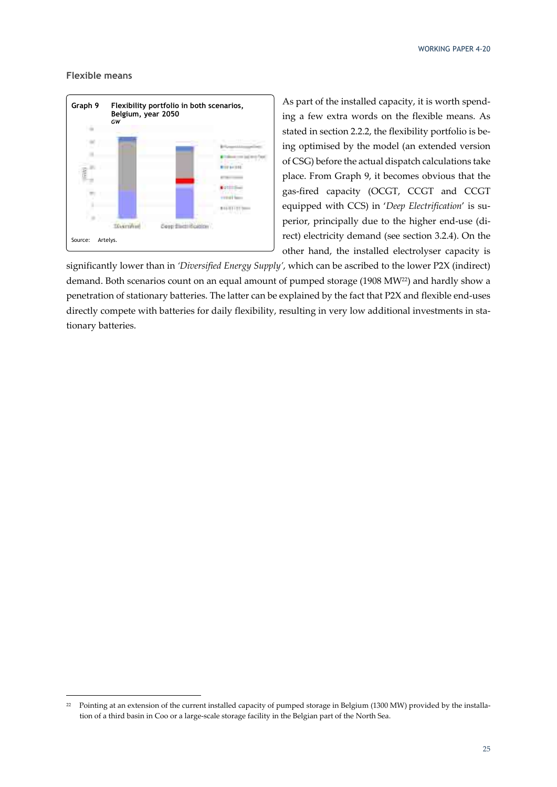#### **Flexible means**



As part of the installed capacity, it is worth spending a few extra words on the flexible means. As stated in section 2.2.2, the flexibility portfolio is being optimised by the model (an extended version of CSG) before the actual dispatch calculations take place. From Graph 9, it becomes obvious that the gas-fired capacity (OCGT, CCGT and CCGT equipped with CCS) in '*Deep Electrification*' is superior, principally due to the higher end-use (direct) electricity demand (see section 3.2.4). On the other hand, the installed electrolyser capacity is

significantly lower than in *'Diversified Energy Supply'*, which can be ascribed to the lower P2X (indirect) demand. Both scenarios count on an equal amount of pumped storage (1908 MW<sup>22</sup>) and hardly show a penetration of stationary batteries. The latter can be explained by the fact that P2X and flexible end-uses directly compete with batteries for daily flexibility, resulting in very low additional investments in stationary batteries.

<sup>&</sup>lt;sup>22</sup> Pointing at an extension of the current installed capacity of pumped storage in Belgium (1300 MW) provided by the installation of a third basin in Coo or a large-scale storage facility in the Belgian part of the North Sea.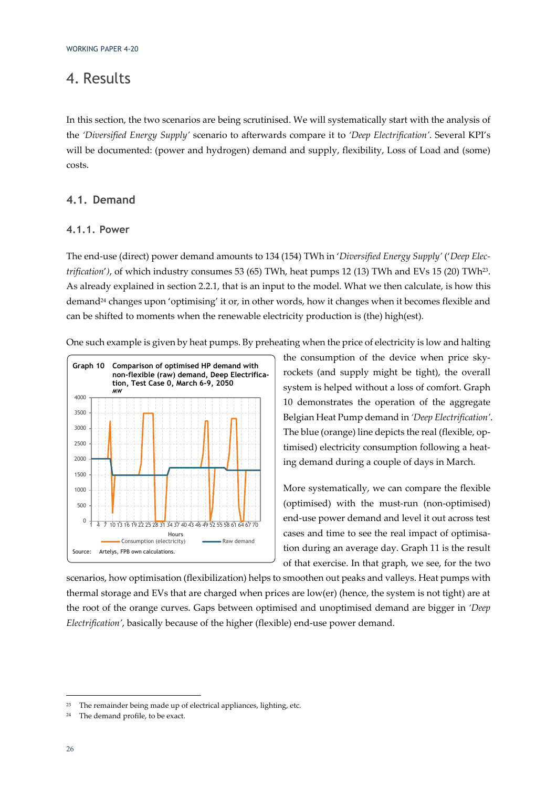### 4. Results

In this section, the two scenarios are being scrutinised. We will systematically start with the analysis of the *'Diversified Energy Supply'* scenario to afterwards compare it to *'Deep Electrification'*. Several KPI's will be documented: (power and hydrogen) demand and supply, flexibility, Loss of Load and (some) costs.

### **4.1. Demand**

### **4.1.1. Power**

The end-use (direct) power demand amounts to 134 (154) TWh in '*Diversified Energy Supply'* ('*Deep Electrification'*), of which industry consumes 53 (65) TWh, heat pumps 12 (13) TWh and EVs 15 (20) TWh<sup>23</sup>. As already explained in section 2.2.1, that is an input to the model. What we then calculate, is how this demand<sup>24</sup> changes upon 'optimising' it or, in other words, how it changes when it becomes flexible and can be shifted to moments when the renewable electricity production is (the) high(est).

One such example is given by heat pumps. By preheating when the price of electricity is low and halting



the consumption of the device when price skyrockets (and supply might be tight), the overall system is helped without a loss of comfort. Graph 10 demonstrates the operation of the aggregate Belgian Heat Pump demand in *'Deep Electrification'*. The blue (orange) line depicts the real (flexible, optimised) electricity consumption following a heating demand during a couple of days in March.

More systematically, we can compare the flexible (optimised) with the must-run (non-optimised) end-use power demand and level it out across test cases and time to see the real impact of optimisation during an average day. Graph 11 is the result of that exercise. In that graph, we see, for the two

scenarios, how optimisation (flexibilization) helps to smoothen out peaks and valleys. Heat pumps with thermal storage and EVs that are charged when prices are low(er) (hence, the system is not tight) are at the root of the orange curves. Gaps between optimised and unoptimised demand are bigger in *'Deep Electrification'*, basically because of the higher (flexible) end-use power demand.

<sup>&</sup>lt;sup>23</sup> The remainder being made up of electrical appliances, lighting, etc.

<sup>24</sup> The demand profile, to be exact.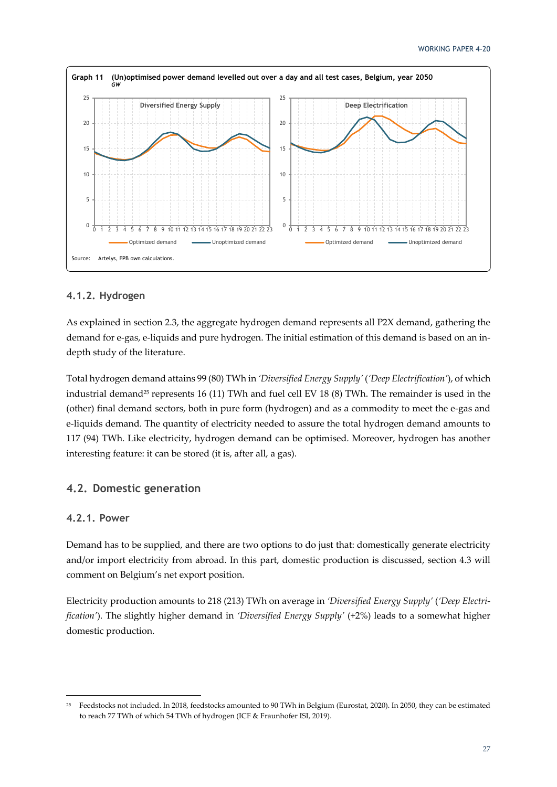

### **4.1.2. Hydrogen**

As explained in section 2.3, the aggregate hydrogen demand represents all P2X demand, gathering the demand for e-gas, e-liquids and pure hydrogen. The initial estimation of this demand is based on an indepth study of the literature.

Total hydrogen demand attains 99 (80) TWh in *'Diversified Energy Supply'* (*'Deep Electrification'*), of which industrial demand<sup>25</sup> represents 16 (11) TWh and fuel cell EV 18 (8) TWh. The remainder is used in the (other) final demand sectors, both in pure form (hydrogen) and as a commodity to meet the e-gas and e-liquids demand. The quantity of electricity needed to assure the total hydrogen demand amounts to 117 (94) TWh. Like electricity, hydrogen demand can be optimised. Moreover, hydrogen has another interesting feature: it can be stored (it is, after all, a gas).

### **4.2. Domestic generation**

### **4.2.1. Power**

Demand has to be supplied, and there are two options to do just that: domestically generate electricity and/or import electricity from abroad. In this part, domestic production is discussed, section 4.3 will comment on Belgium's net export position.

Electricity production amounts to 218 (213) TWh on average in *'Diversified Energy Supply'* (*'Deep Electrification'*). The slightly higher demand in *'Diversified Energy Supply'* (+2%) leads to a somewhat higher domestic production.

<sup>25</sup> Feedstocks not included. In 2018, feedstocks amounted to 90 TWh in Belgium (Eurostat, 2020). In 2050, they can be estimated to reach 77 TWh of which 54 TWh of hydrogen (ICF & Fraunhofer ISI, 2019).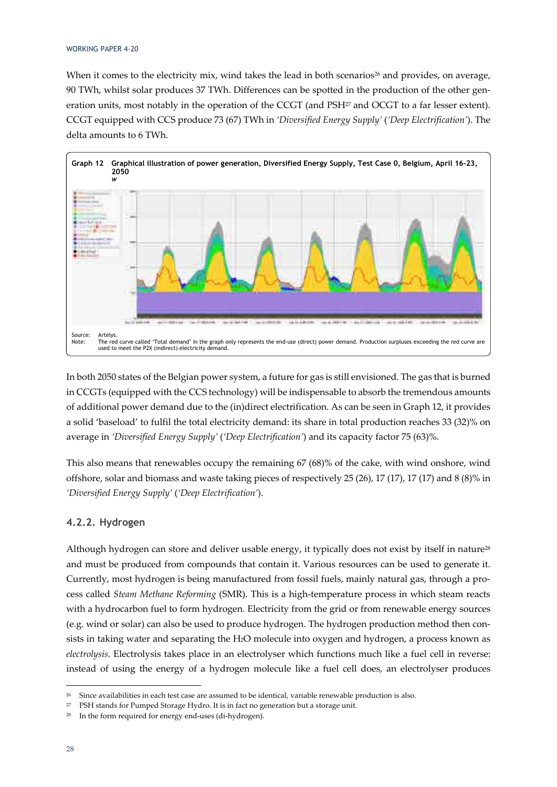When it comes to the electricity mix, wind takes the lead in both scenarios<sup>26</sup> and provides, on average, 90 TWh, whilst solar produces 37 TWh. Differences can be spotted in the production of the other generation units, most notably in the operation of the CCGT (and PSH<sup>27</sup> and OCGT to a far lesser extent). CCGT equipped with CCS produce 73 (67) TWh in *'Diversified Energy Supply'* (*'Deep Electrification'*). The delta amounts to 6 TWh.



In both 2050 states of the Belgian power system, a future for gas is still envisioned. The gas that is burned in CCGTs (equipped with the CCS technology) will be indispensable to absorb the tremendous amounts of additional power demand due to the (in)direct electrification. As can be seen in Graph 12, it provides a solid 'baseload' to fulfil the total electricity demand: its share in total production reaches 33 (32)% on average in *'Diversified Energy Supply'* (*'Deep Electrification'*) and its capacity factor 75 (63)%.

This also means that renewables occupy the remaining 67 (68)% of the cake, with wind onshore, wind offshore, solar and biomass and waste taking pieces of respectively 25 (26), 17 (17), 17 (17) and 8 (8)% in *'Diversified Energy Supply'* (*'Deep Electrification'*).

### **4.2.2. Hydrogen**

Although hydrogen can store and deliver usable energy, it typically does not exist by itself in nature<sup>28</sup> and must be produced from compounds that contain it. Various resources can be used to generate it. Currently, most hydrogen is being manufactured from fossil fuels, mainly natural gas, through a process called *Steam Methane Reforming* (SMR). This is a high-temperature process in which steam reacts with a hydrocarbon fuel to form hydrogen. Electricity from the grid or from renewable energy sources (e.g. wind or solar) can also be used to produce hydrogen. The hydrogen production method then consists in taking water and separating the H2O molecule into oxygen and hydrogen, a process known as *electrolysis*. Electrolysis takes place in an electrolyser which functions much like a fuel cell in reverse: instead of using the energy of a hydrogen molecule like a fuel cell does, an electrolyser produces

<sup>&</sup>lt;sup>26</sup> Since availabilities in each test case are assumed to be identical, variable renewable production is also.

<sup>27</sup> PSH stands for Pumped Storage Hydro. It is in fact no generation but a storage unit.

<sup>28</sup> In the form required for energy end-uses (di-hydrogen).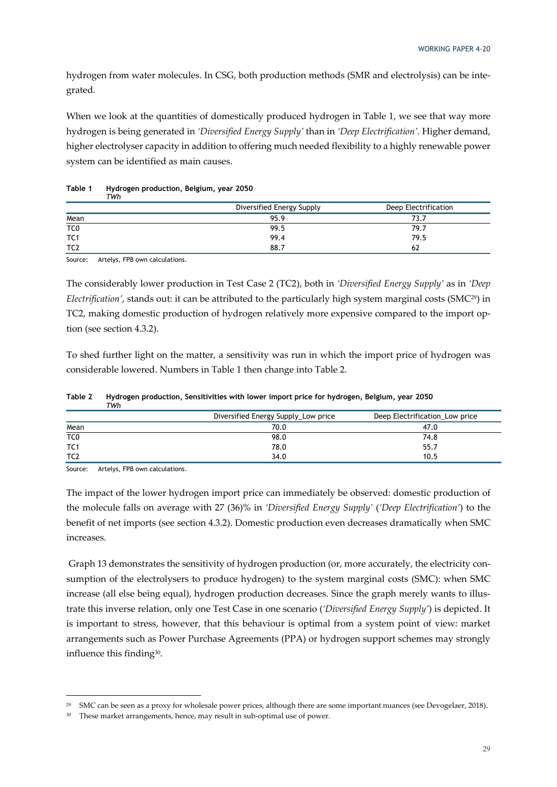hydrogen from water molecules. In CSG, both production methods (SMR and electrolysis) can be integrated.

When we look at the quantities of domestically produced hydrogen in Table 1, we see that way more hydrogen is being generated in *'Diversified Energy Supply'* than in *'Deep Electrification'*. Higher demand, higher electrolyser capacity in addition to offering much needed flexibility to a highly renewable power system can be identified as main causes.

|                 | Diversified Energy Supply | Deep Electrification |
|-----------------|---------------------------|----------------------|
| Mean            | 95.9                      | 73.7                 |
| TC <sub>0</sub> | 99.5                      | 79.7                 |
| TC <sub>1</sub> | 99.4                      | 79.5                 |
| TC <sub>2</sub> | 88.7                      |                      |

#### **Table 1 Hydrogen production, Belgium, year 2050**  *TWh*

Source: Artelys, FPB own calculations.

The considerably lower production in Test Case 2 (TC2), both in *'Diversified Energy Supply'* as in *'Deep Electrification'*, stands out: it can be attributed to the particularly high system marginal costs (SMC29) in TC2, making domestic production of hydrogen relatively more expensive compared to the import option (see section 4.3.2).

To shed further light on the matter, a sensitivity was run in which the import price of hydrogen was considerable lowered. Numbers in Table 1 then change into Table 2.

|                 | Diversified Energy Supply_Low price | Deep Electrification_Low price |
|-----------------|-------------------------------------|--------------------------------|
| Mean            | 70.0                                | 47.0                           |
| TC0             | 98.0                                | 74.8                           |
| TC1             | 78.0                                | 55.7                           |
| TC <sub>2</sub> | 34.0                                | 10.5                           |

**Table 2 Hydrogen production, Sensitivities with lower import price for hydrogen, Belgium, year 2050**  *TWh* 

Source: Artelys, FPB own calculations.

The impact of the lower hydrogen import price can immediately be observed: domestic production of the molecule falls on average with 27 (36)% in *'Diversified Energy Supply'* (*'Deep Electrification'*) to the benefit of net imports (see section 4.3.2). Domestic production even decreases dramatically when SMC increases.

 Graph 13 demonstrates the sensitivity of hydrogen production (or, more accurately, the electricity consumption of the electrolysers to produce hydrogen) to the system marginal costs (SMC): when SMC increase (all else being equal), hydrogen production decreases. Since the graph merely wants to illustrate this inverse relation, only one Test Case in one scenario (*'Diversified Energy Supply'*) is depicted. It is important to stress, however, that this behaviour is optimal from a system point of view: market arrangements such as Power Purchase Agreements (PPA) or hydrogen support schemes may strongly influence this finding30.

<sup>&</sup>lt;sup>29</sup> SMC can be seen as a proxy for wholesale power prices, although there are some important nuances (see Devogelaer, 2018).

<sup>&</sup>lt;sup>30</sup> These market arrangements, hence, may result in sub-optimal use of power.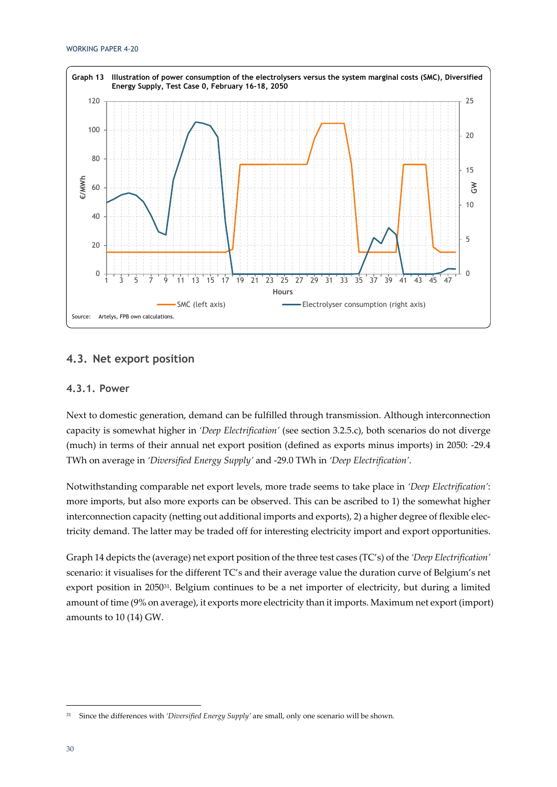

### **4.3. Net export position**

### **4.3.1. Power**

Next to domestic generation, demand can be fulfilled through transmission. Although interconnection capacity is somewhat higher in *'Deep Electrification'* (see section 3.2.5.c), both scenarios do not diverge (much) in terms of their annual net export position (defined as exports minus imports) in 2050: -29.4 TWh on average in *'Diversified Energy Supply'* and -29.0 TWh in *'Deep Electrification'*.

Notwithstanding comparable net export levels, more trade seems to take place in *'Deep Electrification'*: more imports, but also more exports can be observed. This can be ascribed to 1) the somewhat higher interconnection capacity (netting out additional imports and exports), 2) a higher degree of flexible electricity demand. The latter may be traded off for interesting electricity import and export opportunities.

Graph 14 depicts the (average) net export position of the three test cases (TC's) of the *'Deep Electrification'*  scenario: it visualises for the different TC's and their average value the duration curve of Belgium's net export position in 205031. Belgium continues to be a net importer of electricity, but during a limited amount of time (9% on average), it exports more electricity than it imports. Maximum net export (import) amounts to 10 (14) GW.

<sup>&</sup>lt;sup>31</sup> Since the differences with *'Diversified Energy Supply'* are small, only one scenario will be shown.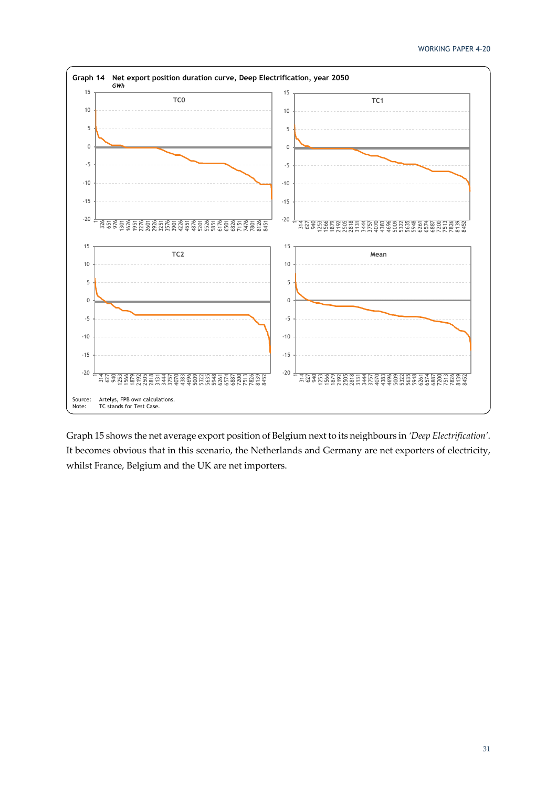

Graph 15 shows the net average export position of Belgium next to its neighbours in *'Deep Electrification'*. It becomes obvious that in this scenario, the Netherlands and Germany are net exporters of electricity, whilst France, Belgium and the UK are net importers.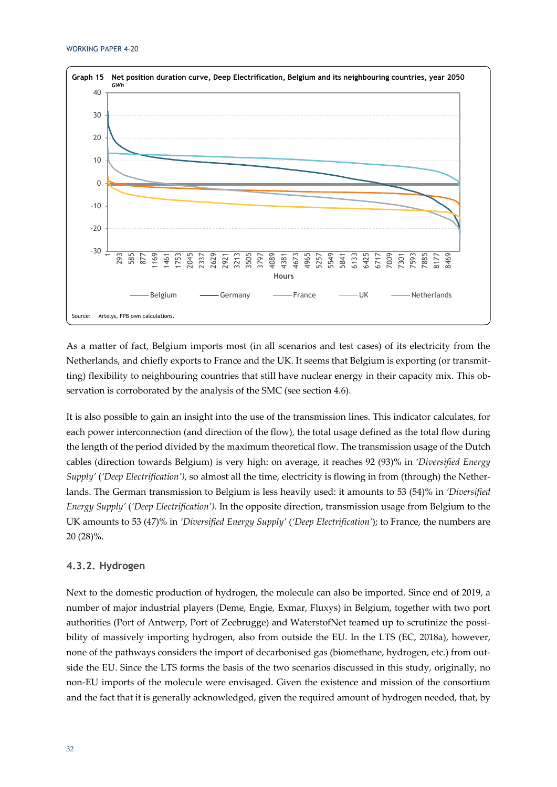

As a matter of fact, Belgium imports most (in all scenarios and test cases) of its electricity from the Netherlands, and chiefly exports to France and the UK. It seems that Belgium is exporting (or transmitting) flexibility to neighbouring countries that still have nuclear energy in their capacity mix. This observation is corroborated by the analysis of the SMC (see section 4.6).

It is also possible to gain an insight into the use of the transmission lines. This indicator calculates, for each power interconnection (and direction of the flow), the total usage defined as the total flow during the length of the period divided by the maximum theoretical flow. The transmission usage of the Dutch cables (direction towards Belgium) is very high: on average, it reaches 92 (93)% in *'Diversified Energy Supply'* (*'Deep Electrification')*, so almost all the time, electricity is flowing in from (through) the Netherlands. The German transmission to Belgium is less heavily used: it amounts to 53 (54)% in *'Diversified Energy Supply'* (*'Deep Electrification')*. In the opposite direction, transmission usage from Belgium to the UK amounts to 53 (47)% in *'Diversified Energy Supply'* (*'Deep Electrification'*); to France, the numbers are 20 (28)%.

### **4.3.2. Hydrogen**

Next to the domestic production of hydrogen, the molecule can also be imported. Since end of 2019, a number of major industrial players (Deme, Engie, Exmar, Fluxys) in Belgium, together with two port authorities (Port of Antwerp, Port of Zeebrugge) and WaterstofNet teamed up to scrutinize the possibility of massively importing hydrogen, also from outside the EU. In the LTS (EC, 2018a), however, none of the pathways considers the import of decarbonised gas (biomethane, hydrogen, etc.) from outside the EU. Since the LTS forms the basis of the two scenarios discussed in this study, originally, no non-EU imports of the molecule were envisaged. Given the existence and mission of the consortium and the fact that it is generally acknowledged, given the required amount of hydrogen needed, that, by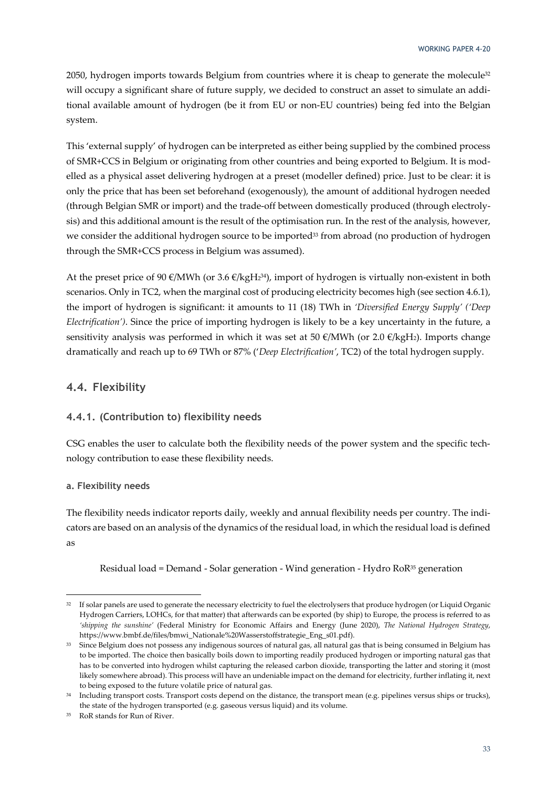2050, hydrogen imports towards Belgium from countries where it is cheap to generate the molecule $32$ will occupy a significant share of future supply, we decided to construct an asset to simulate an additional available amount of hydrogen (be it from EU or non-EU countries) being fed into the Belgian system.

This 'external supply' of hydrogen can be interpreted as either being supplied by the combined process of SMR+CCS in Belgium or originating from other countries and being exported to Belgium. It is modelled as a physical asset delivering hydrogen at a preset (modeller defined) price. Just to be clear: it is only the price that has been set beforehand (exogenously), the amount of additional hydrogen needed (through Belgian SMR or import) and the trade-off between domestically produced (through electrolysis) and this additional amount is the result of the optimisation run. In the rest of the analysis, however, we consider the additional hydrogen source to be imported<sup>33</sup> from abroad (no production of hydrogen through the SMR+CCS process in Belgium was assumed).

At the preset price of 90  $\epsilon$ /MWh (or 3.6  $\epsilon$ /kgH<sub>2</sub><sup>34</sup>), import of hydrogen is virtually non-existent in both scenarios. Only in TC2, when the marginal cost of producing electricity becomes high (see section 4.6.1), the import of hydrogen is significant: it amounts to 11 (18) TWh in *'Diversified Energy Supply' ('Deep Electrification')*. Since the price of importing hydrogen is likely to be a key uncertainty in the future, a sensitivity analysis was performed in which it was set at 50  $\epsilon$ /MWh (or 2.0  $\epsilon$ /kgH<sub>2</sub>). Imports change dramatically and reach up to 69 TWh or 87% ('*Deep Electrification'*, TC2) of the total hydrogen supply.

### **4.4. Flexibility**

### **4.4.1. (Contribution to) flexibility needs**

CSG enables the user to calculate both the flexibility needs of the power system and the specific technology contribution to ease these flexibility needs.

### **a. Flexibility needs**

The flexibility needs indicator reports daily, weekly and annual flexibility needs per country. The indicators are based on an analysis of the dynamics of the residual load, in which the residual load is defined as

Residual load = Demand - Solar generation - Wind generation - Hydro RoR35 generation

<sup>&</sup>lt;sup>32</sup> If solar panels are used to generate the necessary electricity to fuel the electrolysers that produce hydrogen (or Liquid Organic Hydrogen Carriers, LOHCs, for that matter) that afterwards can be exported (by ship) to Europe, the process is referred to as *'shipping the sunshine'* (Federal Ministry for Economic Affairs and Energy (June 2020), *The National Hydrogen Strategy*, https://www.bmbf.de/files/bmwi\_Nationale%20Wasserstoffstrategie\_Eng\_s01.pdf).

<sup>&</sup>lt;sup>33</sup> Since Belgium does not possess any indigenous sources of natural gas, all natural gas that is being consumed in Belgium has to be imported. The choice then basically boils down to importing readily produced hydrogen or importing natural gas that has to be converted into hydrogen whilst capturing the released carbon dioxide, transporting the latter and storing it (most likely somewhere abroad). This process will have an undeniable impact on the demand for electricity, further inflating it, next to being exposed to the future volatile price of natural gas.

<sup>&</sup>lt;sup>34</sup> Including transport costs. Transport costs depend on the distance, the transport mean (e.g. pipelines versus ships or trucks), the state of the hydrogen transported (e.g. gaseous versus liquid) and its volume.

<sup>35</sup> RoR stands for Run of River.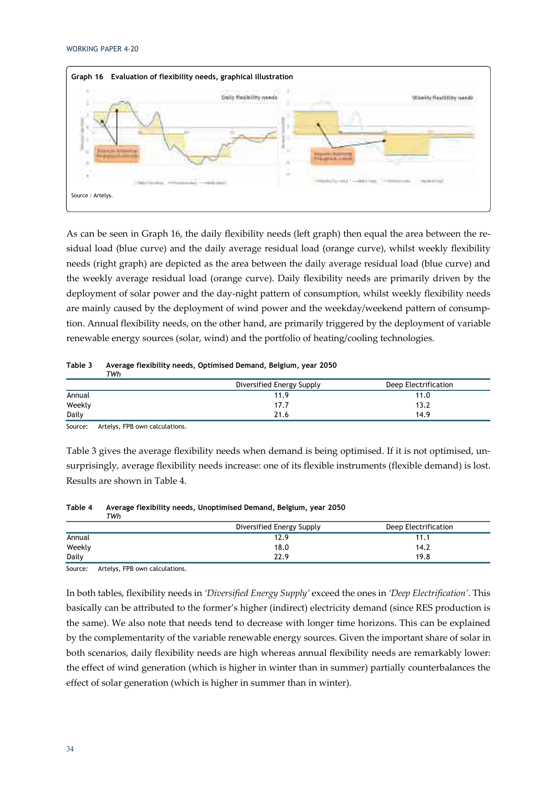

As can be seen in Graph 16, the daily flexibility needs (left graph) then equal the area between the residual load (blue curve) and the daily average residual load (orange curve), whilst weekly flexibility needs (right graph) are depicted as the area between the daily average residual load (blue curve) and the weekly average residual load (orange curve). Daily flexibility needs are primarily driven by the deployment of solar power and the day-night pattern of consumption, whilst weekly flexibility needs are mainly caused by the deployment of wind power and the weekday/weekend pattern of consumption. Annual flexibility needs, on the other hand, are primarily triggered by the deployment of variable renewable energy sources (solar, wind) and the portfolio of heating/cooling technologies.

| тwh    |                           |                      |
|--------|---------------------------|----------------------|
|        | Diversified Energy Supply | Deep Electrification |
| Annual | 11.9                      | 11.0                 |
| Weekly | 17.7                      | 13.2                 |
| Daily  | 21.6                      | 14.9                 |

#### **Table 3 Average flexibility needs, Optimised Demand, Belgium, year 2050**

Source: Artelys, FPB own calculations.

Table 3 gives the average flexibility needs when demand is being optimised. If it is not optimised, unsurprisingly, average flexibility needs increase: one of its flexible instruments (flexible demand) is lost. Results are shown in Table 4.

| TWh    |                           |                      |
|--------|---------------------------|----------------------|
|        | Diversified Energy Supply | Deep Electrification |
| Annual | 12.9                      | 11.1                 |
| Weekly | 18.0                      | 14.2                 |
| Daily  | 22.9                      | 19.8                 |

**Table 4 Average flexibility needs, Unoptimised Demand, Belgium, year 2050** 

Source: Artelys, FPB own calculations.

In both tables, flexibility needs in *'Diversified Energy Supply'* exceed the ones in *'Deep Electrification'*. This basically can be attributed to the former's higher (indirect) electricity demand (since RES production is the same). We also note that needs tend to decrease with longer time horizons. This can be explained by the complementarity of the variable renewable energy sources. Given the important share of solar in both scenarios, daily flexibility needs are high whereas annual flexibility needs are remarkably lower: the effect of wind generation (which is higher in winter than in summer) partially counterbalances the effect of solar generation (which is higher in summer than in winter).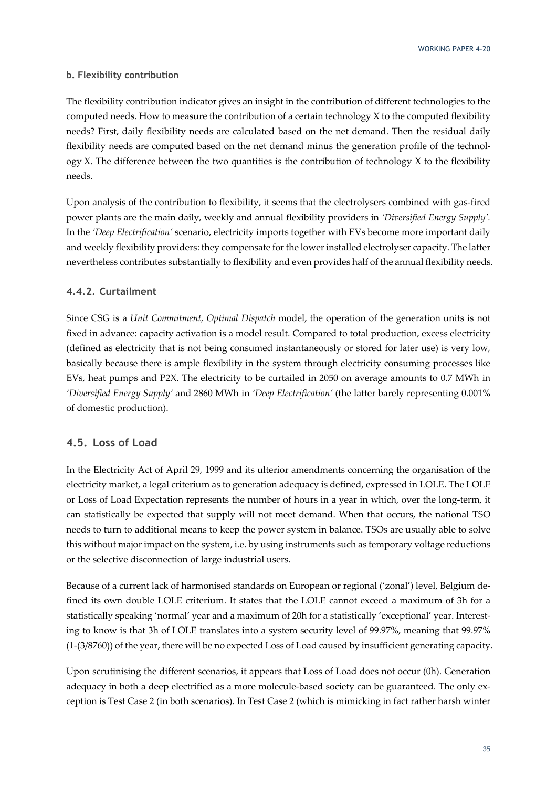### **b. Flexibility contribution**

The flexibility contribution indicator gives an insight in the contribution of different technologies to the computed needs. How to measure the contribution of a certain technology X to the computed flexibility needs? First, daily flexibility needs are calculated based on the net demand. Then the residual daily flexibility needs are computed based on the net demand minus the generation profile of the technol- $\log y$  X. The difference between the two quantities is the contribution of technology X to the flexibility needs.

Upon analysis of the contribution to flexibility, it seems that the electrolysers combined with gas-fired power plants are the main daily, weekly and annual flexibility providers in *'Diversified Energy Supply'.* In the *'Deep Electrification'* scenario, electricity imports together with EVs become more important daily and weekly flexibility providers: they compensate for the lower installed electrolyser capacity. The latter nevertheless contributes substantially to flexibility and even provides half of the annual flexibility needs.

### **4.4.2. Curtailment**

Since CSG is a *Unit Commitment, Optimal Dispatch* model, the operation of the generation units is not fixed in advance: capacity activation is a model result. Compared to total production, excess electricity (defined as electricity that is not being consumed instantaneously or stored for later use) is very low, basically because there is ample flexibility in the system through electricity consuming processes like EVs, heat pumps and P2X. The electricity to be curtailed in 2050 on average amounts to 0.7 MWh in *'Diversified Energy Supply'* and 2860 MWh in *'Deep Electrification'* (the latter barely representing 0.001% of domestic production).

### **4.5. Loss of Load**

In the Electricity Act of April 29, 1999 and its ulterior amendments concerning the organisation of the electricity market, a legal criterium as to generation adequacy is defined, expressed in LOLE. The LOLE or Loss of Load Expectation represents the number of hours in a year in which, over the long-term, it can statistically be expected that supply will not meet demand. When that occurs, the national TSO needs to turn to additional means to keep the power system in balance. TSOs are usually able to solve this without major impact on the system, i.e. by using instruments such as temporary voltage reductions or the selective disconnection of large industrial users.

Because of a current lack of harmonised standards on European or regional ('zonal') level, Belgium defined its own double LOLE criterium. It states that the LOLE cannot exceed a maximum of 3h for a statistically speaking 'normal' year and a maximum of 20h for a statistically 'exceptional' year. Interesting to know is that 3h of LOLE translates into a system security level of 99.97%, meaning that 99.97% (1-(3/8760)) of the year, there will be no expected Loss of Load caused by insufficient generating capacity.

Upon scrutinising the different scenarios, it appears that Loss of Load does not occur (0h). Generation adequacy in both a deep electrified as a more molecule-based society can be guaranteed. The only exception is Test Case 2 (in both scenarios). In Test Case 2 (which is mimicking in fact rather harsh winter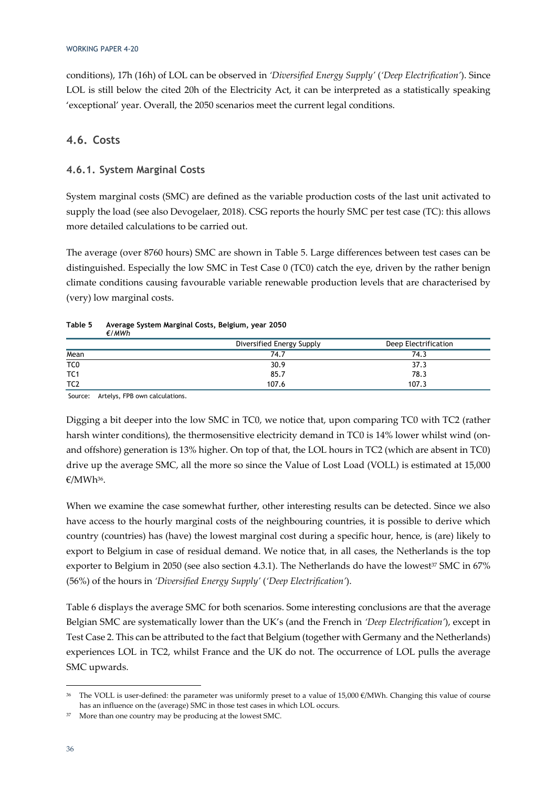conditions), 17h (16h) of LOL can be observed in *'Diversified Energy Supply'* (*'Deep Electrification'*). Since LOL is still below the cited 20h of the Electricity Act, it can be interpreted as a statistically speaking 'exceptional' year. Overall, the 2050 scenarios meet the current legal conditions.

### **4.6. Costs**

### **4.6.1. System Marginal Costs**

System marginal costs (SMC) are defined as the variable production costs of the last unit activated to supply the load (see also Devogelaer, 2018). CSG reports the hourly SMC per test case (TC): this allows more detailed calculations to be carried out.

The average (over 8760 hours) SMC are shown in Table 5. Large differences between test cases can be distinguished. Especially the low SMC in Test Case 0 (TC0) catch the eye, driven by the rather benign climate conditions causing favourable variable renewable production levels that are characterised by (very) low marginal costs.

|                 | Diversified Energy Supply | Deep Electrification |
|-----------------|---------------------------|----------------------|
| Mean            | 74.7                      | 74.3                 |
| TC <sub>0</sub> | 30.9                      | 37.3                 |
| TC <sub>1</sub> | 85.7                      | 78.3                 |
| TC <sub>2</sub> | 107.6                     | 107.3                |

#### **Table 5 Average System Marginal Costs, Belgium, year 2050**  *€/MWh*

Source: Artelys, FPB own calculations.

Digging a bit deeper into the low SMC in TC0, we notice that, upon comparing TC0 with TC2 (rather harsh winter conditions), the thermosensitive electricity demand in TC0 is 14% lower whilst wind (onand offshore) generation is 13% higher. On top of that, the LOL hours in TC2 (which are absent in TC0) drive up the average SMC, all the more so since the Value of Lost Load (VOLL) is estimated at 15,000 €/MWh36.

When we examine the case somewhat further, other interesting results can be detected. Since we also have access to the hourly marginal costs of the neighbouring countries, it is possible to derive which country (countries) has (have) the lowest marginal cost during a specific hour, hence, is (are) likely to export to Belgium in case of residual demand. We notice that, in all cases, the Netherlands is the top exporter to Belgium in 2050 (see also section 4.3.1). The Netherlands do have the lowest $37$  SMC in 67% (56%) of the hours in *'Diversified Energy Supply'* (*'Deep Electrification'*).

Table 6 displays the average SMC for both scenarios. Some interesting conclusions are that the average Belgian SMC are systematically lower than the UK's (and the French in *'Deep Electrification'*), except in Test Case 2. This can be attributed to the fact that Belgium (together with Germany and the Netherlands) experiences LOL in TC2, whilst France and the UK do not. The occurrence of LOL pulls the average SMC upwards.

<sup>&</sup>lt;sup>36</sup> The VOLL is user-defined: the parameter was uniformly preset to a value of 15,000  $\epsilon$ /MWh. Changing this value of course has an influence on the (average) SMC in those test cases in which LOL occurs.

<sup>37</sup> More than one country may be producing at the lowest SMC.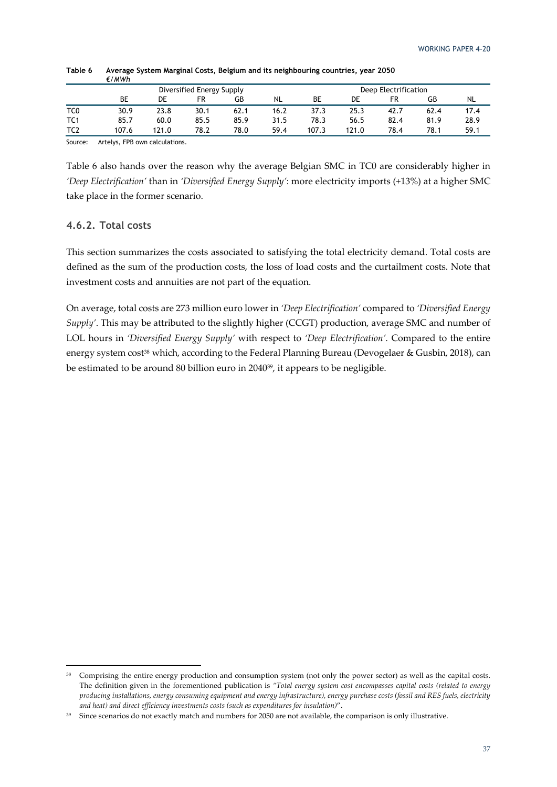|                 |       | Diversified Energy Supply |      |      |           |       |       | Deep Electrification |      |      |  |
|-----------------|-------|---------------------------|------|------|-----------|-------|-------|----------------------|------|------|--|
|                 | ВE    | DE                        | FR   | GB   | <b>NL</b> | ВE    | DE    | FR                   | GB   | NL   |  |
| TC <sub>0</sub> | 30.9  | 23.8                      | 30.1 | 62.1 | 16.2      | 37.3  | 25.3  | 42.7                 | 62.4 | 17.4 |  |
| TC1             | 85.7  | 60.0                      | 85.5 | 85.9 | 31.5      | 78.3  | 56.5  | 82.4                 | 81.9 | 28.9 |  |
| TC <sub>2</sub> | 107.6 | 121.0                     | 78.2 | 78.0 | 59.4      | 107.3 | 121.0 | 78.4                 | 78.1 | 59.1 |  |
| $\sim$          | $ -$  | .                         |      |      |           |       |       |                      |      |      |  |

**Table 6 Average System Marginal Costs, Belgium and its neighbouring countries, year 2050**  *€/MWh* 

Source: Artelys, FPB own calculations.

Table 6 also hands over the reason why the average Belgian SMC in TC0 are considerably higher in *'Deep Electrification'* than in *'Diversified Energy Supply'*: more electricity imports (+13%) at a higher SMC take place in the former scenario.

### **4.6.2. Total costs**

This section summarizes the costs associated to satisfying the total electricity demand. Total costs are defined as the sum of the production costs, the loss of load costs and the curtailment costs. Note that investment costs and annuities are not part of the equation.

On average, total costs are 273 million euro lower in *'Deep Electrification'* compared to *'Diversified Energy Supply'*. This may be attributed to the slightly higher (CCGT) production, average SMC and number of LOL hours in *'Diversified Energy Supply'* with respect to *'Deep Electrification'.* Compared to the entire energy system cost<sup>38</sup> which, according to the Federal Planning Bureau (Devogelaer & Gusbin, 2018), can be estimated to be around 80 billion euro in 204039, it appears to be negligible.

<sup>&</sup>lt;sup>38</sup> Comprising the entire energy production and consumption system (not only the power sector) as well as the capital costs. The definition given in the forementioned publication is *"Total energy system cost encompasses capital costs (related to energy producing installations, energy consuming equipment and energy infrastructure), energy purchase costs (fossil and RES fuels, electricity and heat) and direct efficiency investments costs (such as expenditures for insulation)*".

<sup>&</sup>lt;sup>39</sup> Since scenarios do not exactly match and numbers for 2050 are not available, the comparison is only illustrative.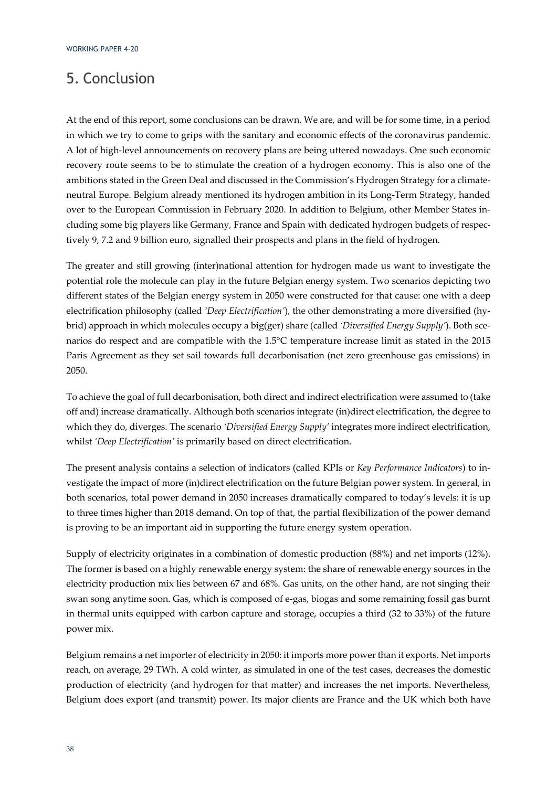## 5. Conclusion

At the end of this report, some conclusions can be drawn. We are, and will be for some time, in a period in which we try to come to grips with the sanitary and economic effects of the coronavirus pandemic. A lot of high-level announcements on recovery plans are being uttered nowadays. One such economic recovery route seems to be to stimulate the creation of a hydrogen economy. This is also one of the ambitions stated in the Green Deal and discussed in the Commission's Hydrogen Strategy for a climateneutral Europe. Belgium already mentioned its hydrogen ambition in its Long-Term Strategy, handed over to the European Commission in February 2020. In addition to Belgium, other Member States including some big players like Germany, France and Spain with dedicated hydrogen budgets of respectively 9, 7.2 and 9 billion euro, signalled their prospects and plans in the field of hydrogen.

The greater and still growing (inter)national attention for hydrogen made us want to investigate the potential role the molecule can play in the future Belgian energy system. Two scenarios depicting two different states of the Belgian energy system in 2050 were constructed for that cause: one with a deep electrification philosophy (called *'Deep Electrification'*), the other demonstrating a more diversified (hybrid) approach in which molecules occupy a big(ger) share (called *'Diversified Energy Supply'*). Both scenarios do respect and are compatible with the 1.5°C temperature increase limit as stated in the 2015 Paris Agreement as they set sail towards full decarbonisation (net zero greenhouse gas emissions) in 2050.

To achieve the goal of full decarbonisation, both direct and indirect electrification were assumed to (take off and) increase dramatically. Although both scenarios integrate (in)direct electrification, the degree to which they do, diverges. The scenario *'Diversified Energy Supply'* integrates more indirect electrification, whilst *'Deep Electrification'* is primarily based on direct electrification.

The present analysis contains a selection of indicators (called KPIs or *Key Performance Indicators*) to investigate the impact of more (in)direct electrification on the future Belgian power system. In general, in both scenarios, total power demand in 2050 increases dramatically compared to today's levels: it is up to three times higher than 2018 demand. On top of that, the partial flexibilization of the power demand is proving to be an important aid in supporting the future energy system operation.

Supply of electricity originates in a combination of domestic production (88%) and net imports (12%). The former is based on a highly renewable energy system: the share of renewable energy sources in the electricity production mix lies between 67 and 68%. Gas units, on the other hand, are not singing their swan song anytime soon. Gas, which is composed of e-gas, biogas and some remaining fossil gas burnt in thermal units equipped with carbon capture and storage, occupies a third (32 to 33%) of the future power mix.

Belgium remains a net importer of electricity in 2050: it imports more power than it exports. Net imports reach, on average, 29 TWh. A cold winter, as simulated in one of the test cases, decreases the domestic production of electricity (and hydrogen for that matter) and increases the net imports. Nevertheless, Belgium does export (and transmit) power. Its major clients are France and the UK which both have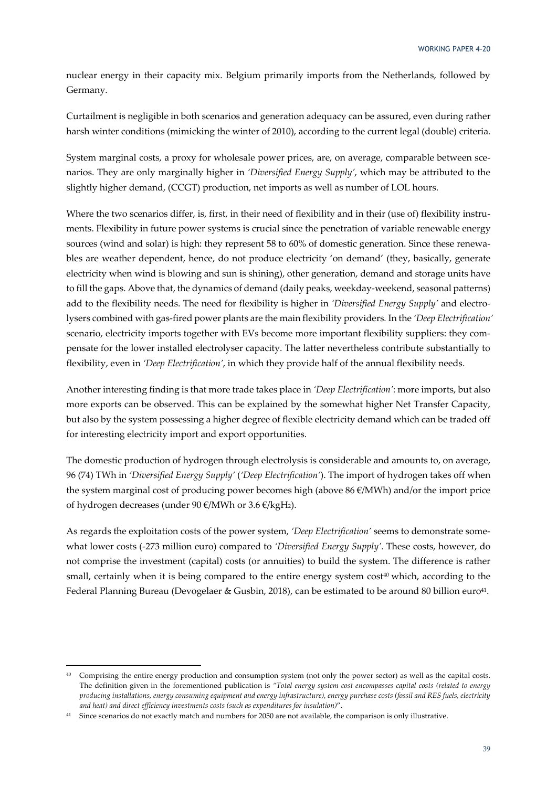nuclear energy in their capacity mix. Belgium primarily imports from the Netherlands, followed by Germany.

Curtailment is negligible in both scenarios and generation adequacy can be assured, even during rather harsh winter conditions (mimicking the winter of 2010), according to the current legal (double) criteria.

System marginal costs, a proxy for wholesale power prices, are, on average, comparable between scenarios. They are only marginally higher in *'Diversified Energy Supply'*, which may be attributed to the slightly higher demand, (CCGT) production, net imports as well as number of LOL hours.

Where the two scenarios differ, is, first, in their need of flexibility and in their (use of) flexibility instruments. Flexibility in future power systems is crucial since the penetration of variable renewable energy sources (wind and solar) is high: they represent 58 to 60% of domestic generation. Since these renewables are weather dependent, hence, do not produce electricity 'on demand' (they, basically, generate electricity when wind is blowing and sun is shining), other generation, demand and storage units have to fill the gaps. Above that, the dynamics of demand (daily peaks, weekday-weekend, seasonal patterns) add to the flexibility needs. The need for flexibility is higher in *'Diversified Energy Supply'* and electrolysers combined with gas-fired power plants are the main flexibility providers*.* In the *'Deep Electrification'* scenario, electricity imports together with EVs become more important flexibility suppliers: they compensate for the lower installed electrolyser capacity. The latter nevertheless contribute substantially to flexibility, even in *'Deep Electrification'*, in which they provide half of the annual flexibility needs.

Another interesting finding is that more trade takes place in *'Deep Electrification'*: more imports, but also more exports can be observed. This can be explained by the somewhat higher Net Transfer Capacity, but also by the system possessing a higher degree of flexible electricity demand which can be traded off for interesting electricity import and export opportunities.

The domestic production of hydrogen through electrolysis is considerable and amounts to, on average, 96 (74) TWh in *'Diversified Energy Supply'* (*'Deep Electrification'*). The import of hydrogen takes off when the system marginal cost of producing power becomes high (above  $86 \text{ }\epsilon/\text{MWh}$ ) and/or the import price of hydrogen decreases (under 90 €/MWh or 3.6 €/kgH2).

As regards the exploitation costs of the power system, *'Deep Electrification'* seems to demonstrate somewhat lower costs (-273 million euro) compared to *'Diversified Energy Supply'*. These costs, however, do not comprise the investment (capital) costs (or annuities) to build the system. The difference is rather small, certainly when it is being compared to the entire energy system cost<sup>40</sup> which, according to the Federal Planning Bureau (Devogelaer & Gusbin, 2018), can be estimated to be around 80 billion euro<sup>41</sup>.

<sup>&</sup>lt;sup>40</sup> Comprising the entire energy production and consumption system (not only the power sector) as well as the capital costs. The definition given in the forementioned publication is *"Total energy system cost encompasses capital costs (related to energy producing installations, energy consuming equipment and energy infrastructure), energy purchase costs (fossil and RES fuels, electricity and heat) and direct efficiency investments costs (such as expenditures for insulation)*".

<sup>&</sup>lt;sup>41</sup> Since scenarios do not exactly match and numbers for 2050 are not available, the comparison is only illustrative.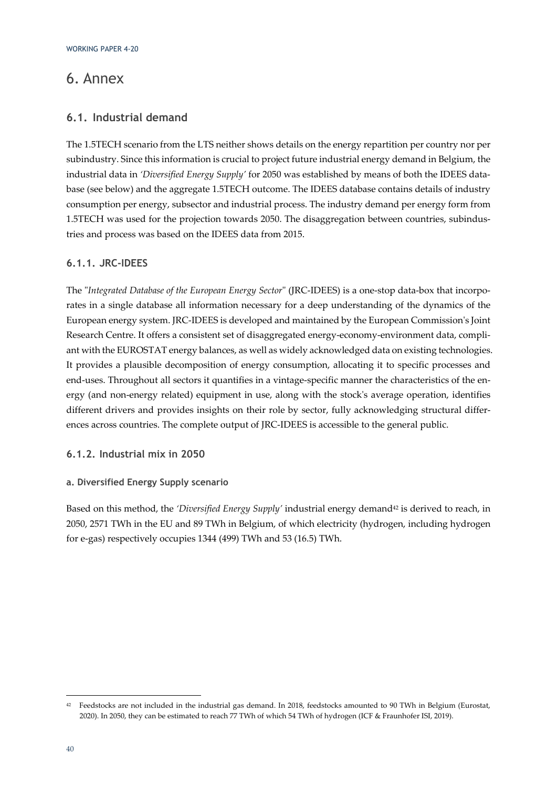## 6. Annex

### **6.1. Industrial demand**

The 1.5TECH scenario from the LTS neither shows details on the energy repartition per country nor per subindustry. Since this information is crucial to project future industrial energy demand in Belgium, the industrial data in *'Diversified Energy Supply'* for 2050 was established by means of both the IDEES database (see below) and the aggregate 1.5TECH outcome. The IDEES database contains details of industry consumption per energy, subsector and industrial process. The industry demand per energy form from 1.5TECH was used for the projection towards 2050. The disaggregation between countries, subindustries and process was based on the IDEES data from 2015.

### **6.1.1. JRC-IDEES**

The "*Integrated Database of the European Energy Sector*" (JRC-IDEES) is a one-stop data-box that incorporates in a single database all information necessary for a deep understanding of the dynamics of the European energy system. JRC-IDEES is developed and maintained by the European Commission's Joint Research Centre. It offers a consistent set of disaggregated energy-economy-environment data, compliant with the EUROSTAT energy balances, as well as widely acknowledged data on existing technologies. It provides a plausible decomposition of energy consumption, allocating it to specific processes and end-uses. Throughout all sectors it quantifies in a vintage-specific manner the characteristics of the energy (and non-energy related) equipment in use, along with the stock's average operation, identifies different drivers and provides insights on their role by sector, fully acknowledging structural differences across countries. The complete output of JRC-IDEES is accessible to the general public.

### **6.1.2. Industrial mix in 2050**

### **a. Diversified Energy Supply scenario**

Based on this method, the *'Diversified Energy Supply'* industrial energy demand<sup>42</sup> is derived to reach, in 2050, 2571 TWh in the EU and 89 TWh in Belgium, of which electricity (hydrogen, including hydrogen for e-gas) respectively occupies 1344 (499) TWh and 53 (16.5) TWh.

<sup>42</sup> Feedstocks are not included in the industrial gas demand. In 2018, feedstocks amounted to 90 TWh in Belgium (Eurostat, 2020). In 2050, they can be estimated to reach 77 TWh of which 54 TWh of hydrogen (ICF & Fraunhofer ISI, 2019).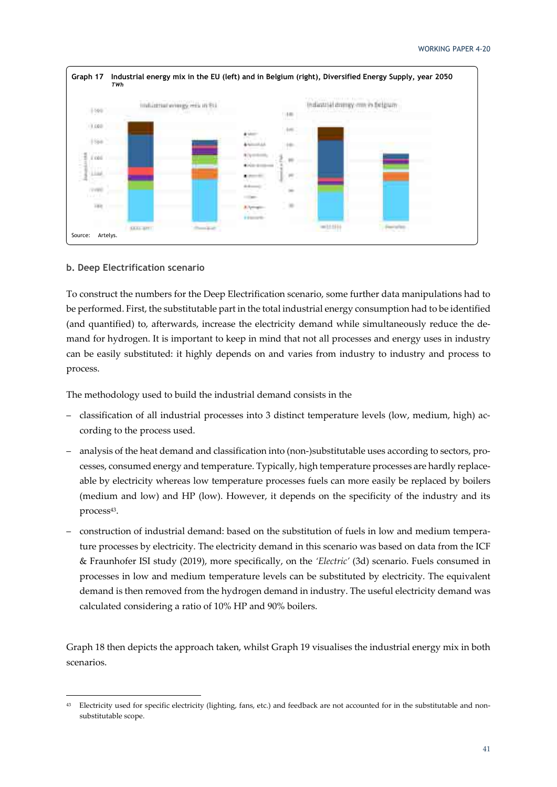

### **b. Deep Electrification scenario**

To construct the numbers for the Deep Electrification scenario, some further data manipulations had to be performed. First, the substitutable part in the total industrial energy consumption had to be identified (and quantified) to, afterwards, increase the electricity demand while simultaneously reduce the demand for hydrogen. It is important to keep in mind that not all processes and energy uses in industry can be easily substituted: it highly depends on and varies from industry to industry and process to process.

The methodology used to build the industrial demand consists in the

- classification of all industrial processes into 3 distinct temperature levels (low, medium, high) according to the process used.
- analysis of the heat demand and classification into (non-)substitutable uses according to sectors, processes, consumed energy and temperature. Typically, high temperature processes are hardly replaceable by electricity whereas low temperature processes fuels can more easily be replaced by boilers (medium and low) and HP (low). However, it depends on the specificity of the industry and its process<sup>43</sup>.
- construction of industrial demand: based on the substitution of fuels in low and medium temperature processes by electricity. The electricity demand in this scenario was based on data from the ICF & Fraunhofer ISI study (2019), more specifically, on the *'Electric'* (3d) scenario. Fuels consumed in processes in low and medium temperature levels can be substituted by electricity. The equivalent demand is then removed from the hydrogen demand in industry. The useful electricity demand was calculated considering a ratio of 10% HP and 90% boilers.

Graph 18 then depicts the approach taken, whilst Graph 19 visualises the industrial energy mix in both scenarios.

<sup>&</sup>lt;sup>43</sup> Electricity used for specific electricity (lighting, fans, etc.) and feedback are not accounted for in the substitutable and nonsubstitutable scope.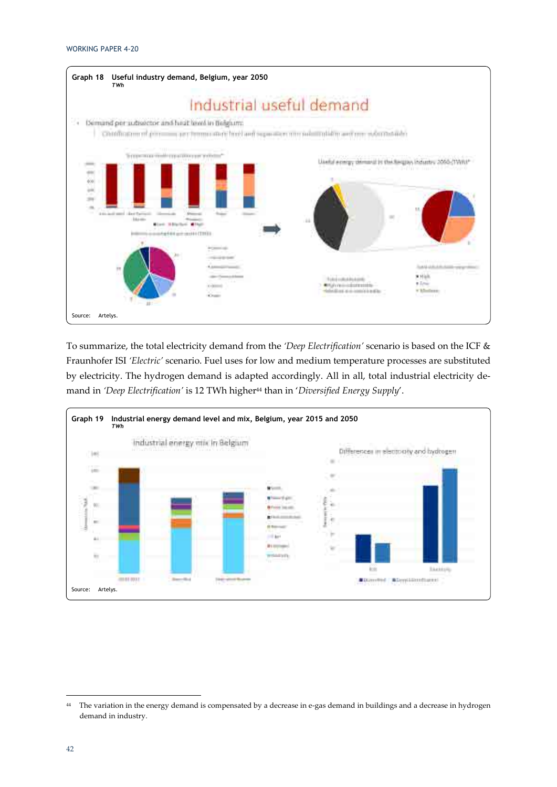

To summarize, the total electricity demand from the *'Deep Electrification'* scenario is based on the ICF & Fraunhofer ISI *'Electric'* scenario. Fuel uses for low and medium temperature processes are substituted by electricity. The hydrogen demand is adapted accordingly. All in all, total industrial electricity demand in *'Deep Electrification'* is 12 TWh higher44 than in '*Diversified Energy Supply*'.



<sup>&</sup>lt;sup>44</sup> The variation in the energy demand is compensated by a decrease in e-gas demand in buildings and a decrease in hydrogen demand in industry.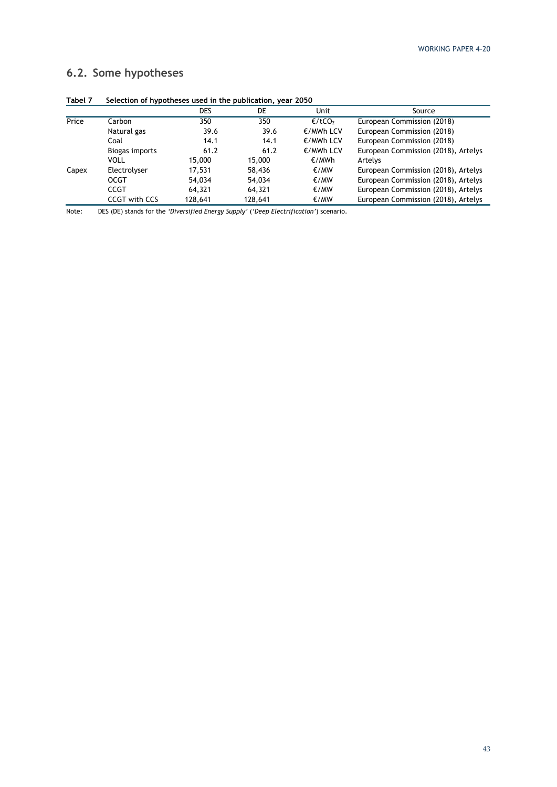### **6.2. Some hypotheses**

| 190011 | belection of hypotheses used in the publication, year 2050 |         |         |           |                                     |  |  |  |  |
|--------|------------------------------------------------------------|---------|---------|-----------|-------------------------------------|--|--|--|--|
|        |                                                            | DES     | DE      | Unit      | Source                              |  |  |  |  |
| Price  | Carbon                                                     | 350     | 350     | €/tCO2    | European Commission (2018)          |  |  |  |  |
|        | Natural gas                                                | 39.6    | 39.6    | €/MWh LCV | European Commission (2018)          |  |  |  |  |
|        | Coal                                                       | 14.1    | 14.1    | €/MWh LCV | European Commission (2018)          |  |  |  |  |
|        | Biogas imports                                             | 61.2    | 61.2    | €/MWh LCV | European Commission (2018), Artelys |  |  |  |  |
|        | VOLL                                                       | 15,000  | 15,000  | €/MWh     | Artelys                             |  |  |  |  |
| Capex  | Electrolyser                                               | 17,531  | 58,436  | €/MW      | European Commission (2018), Artelys |  |  |  |  |
|        | <b>OCGT</b>                                                | 54,034  | 54,034  | €/MW      | European Commission (2018), Artelys |  |  |  |  |
|        | CCGT                                                       | 64,321  | 64,321  | €/MW      | European Commission (2018), Artelys |  |  |  |  |
|        | <b>CCGT with CCS</b>                                       | 128,641 | 128.641 | €/MW      | European Commission (2018), Artelys |  |  |  |  |

**Tabel 7 Selection of hypotheses used in the publication, year 2050** 

Note: DES (DE) stands for the *'Diversified Energy Supply'* (*'Deep Electrification'*) scenario.